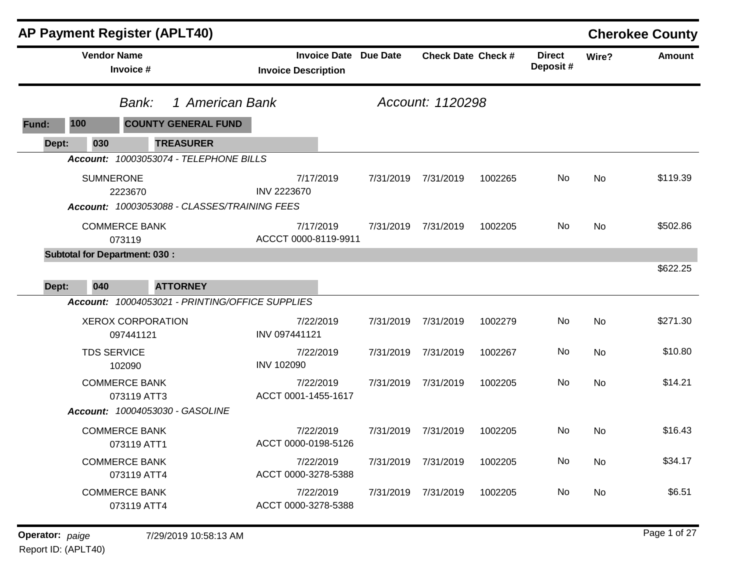|       |                                | <b>AP Payment Register (APLT40)</b>    |                                                                    |                              |                           |         |                           |           | <b>Cherokee County</b> |
|-------|--------------------------------|----------------------------------------|--------------------------------------------------------------------|------------------------------|---------------------------|---------|---------------------------|-----------|------------------------|
|       | <b>Vendor Name</b>             | Invoice #                              | <b>Invoice Description</b>                                         | <b>Invoice Date Due Date</b> | <b>Check Date Check #</b> |         | <b>Direct</b><br>Deposit# | Wire?     | <b>Amount</b>          |
|       |                                | Bank:                                  | 1 American Bank                                                    |                              | Account: 1120298          |         |                           |           |                        |
| Fund: | 100                            | <b>COUNTY GENERAL FUND</b>             |                                                                    |                              |                           |         |                           |           |                        |
| Dept: | 030                            | <b>TREASURER</b>                       |                                                                    |                              |                           |         |                           |           |                        |
|       |                                | Account: 10003053074 - TELEPHONE BILLS |                                                                    |                              |                           |         |                           |           |                        |
|       | <b>SUMNERONE</b>               |                                        | 7/17/2019                                                          | 7/31/2019                    | 7/31/2019                 | 1002265 | No.                       | <b>No</b> | \$119.39               |
|       |                                | 2223670                                | <b>INV 2223670</b><br>Account: 10003053088 - CLASSES/TRAINING FEES |                              |                           |         |                           |           |                        |
|       |                                |                                        |                                                                    |                              |                           |         |                           |           |                        |
|       | <b>COMMERCE BANK</b><br>073119 |                                        | 7/17/2019<br>ACCCT 0000-8119-9911                                  |                              | 7/31/2019 7/31/2019       | 1002205 | No                        | <b>No</b> | \$502.86               |
|       |                                | <b>Subtotal for Department: 030:</b>   |                                                                    |                              |                           |         |                           |           |                        |
|       |                                |                                        |                                                                    |                              |                           |         |                           |           | \$622.25               |
| Dept: | 040                            | <b>ATTORNEY</b>                        |                                                                    |                              |                           |         |                           |           |                        |
|       |                                |                                        | Account: 10004053021 - PRINTING/OFFICE SUPPLIES                    |                              |                           |         |                           |           |                        |
|       |                                | <b>XEROX CORPORATION</b>               | 7/22/2019                                                          | 7/31/2019                    | 7/31/2019                 | 1002279 | No                        | No        | \$271.30               |
|       |                                | 097441121                              | INV 097441121                                                      |                              |                           |         |                           |           |                        |
|       | <b>TDS SERVICE</b>             |                                        | 7/22/2019                                                          | 7/31/2019                    | 7/31/2019                 | 1002267 | No.                       | No        | \$10.80                |
|       |                                | 102090                                 | <b>INV 102090</b>                                                  |                              |                           |         |                           |           |                        |
|       |                                | <b>COMMERCE BANK</b><br>073119 ATT3    | 7/22/2019<br>ACCT 0001-1455-1617                                   | 7/31/2019                    | 7/31/2019                 | 1002205 | No.                       | No        | \$14.21                |
|       |                                | <b>Account: 10004053030 - GASOLINE</b> |                                                                    |                              |                           |         |                           |           |                        |
|       |                                | <b>COMMERCE BANK</b>                   | 7/22/2019                                                          | 7/31/2019                    | 7/31/2019                 | 1002205 | No                        | No        | \$16.43                |
|       |                                | 073119 ATT1                            | ACCT 0000-0198-5126                                                |                              |                           |         |                           |           |                        |
|       |                                | <b>COMMERCE BANK</b>                   | 7/22/2019                                                          | 7/31/2019                    | 7/31/2019                 | 1002205 | No.                       | No        | \$34.17                |
|       |                                | 073119 ATT4                            | ACCT 0000-3278-5388                                                |                              |                           |         |                           |           |                        |
|       |                                | <b>COMMERCE BANK</b>                   | 7/22/2019                                                          | 7/31/2019                    | 7/31/2019                 | 1002205 | No.                       | No        | \$6.51                 |
|       |                                | 073119 ATT4                            | ACCT 0000-3278-5388                                                |                              |                           |         |                           |           |                        |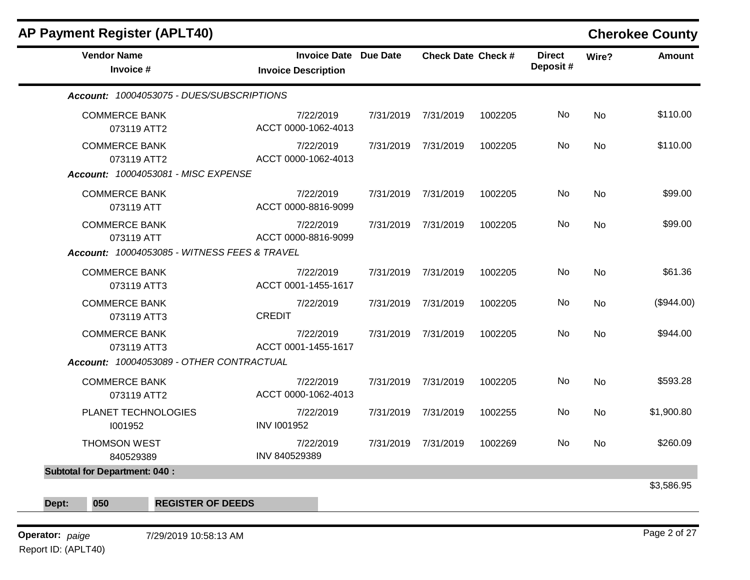| <b>AP Payment Register (APLT40)</b>                                               |                                                            |           |                           |         |                           |           | <b>Cherokee County</b> |
|-----------------------------------------------------------------------------------|------------------------------------------------------------|-----------|---------------------------|---------|---------------------------|-----------|------------------------|
| <b>Vendor Name</b><br>Invoice #                                                   | <b>Invoice Date Due Date</b><br><b>Invoice Description</b> |           | <b>Check Date Check #</b> |         | <b>Direct</b><br>Deposit# | Wire?     | <b>Amount</b>          |
| Account: 10004053075 - DUES/SUBSCRIPTIONS                                         |                                                            |           |                           |         |                           |           |                        |
| <b>COMMERCE BANK</b><br>073119 ATT2                                               | 7/22/2019<br>ACCT 0000-1062-4013                           |           | 7/31/2019 7/31/2019       | 1002205 | No.                       | <b>No</b> | \$110.00               |
| <b>COMMERCE BANK</b><br>073119 ATT2<br><b>Account: 10004053081 - MISC EXPENSE</b> | 7/22/2019<br>ACCT 0000-1062-4013                           |           | 7/31/2019 7/31/2019       | 1002205 | No                        | <b>No</b> | \$110.00               |
| <b>COMMERCE BANK</b><br>073119 ATT                                                | 7/22/2019<br>ACCT 0000-8816-9099                           |           | 7/31/2019 7/31/2019       | 1002205 | No.                       | No        | \$99.00                |
| <b>COMMERCE BANK</b><br>073119 ATT                                                | 7/22/2019<br>ACCT 0000-8816-9099                           |           | 7/31/2019 7/31/2019       | 1002205 | No                        | No        | \$99.00                |
| Account: 10004053085 - WITNESS FEES & TRAVEL                                      |                                                            |           |                           |         |                           |           |                        |
| <b>COMMERCE BANK</b><br>073119 ATT3                                               | 7/22/2019<br>ACCT 0001-1455-1617                           |           | 7/31/2019 7/31/2019       | 1002205 | No                        | No        | \$61.36                |
| <b>COMMERCE BANK</b><br>073119 ATT3                                               | 7/22/2019<br><b>CREDIT</b>                                 | 7/31/2019 | 7/31/2019                 | 1002205 | No.                       | <b>No</b> | (\$944.00)             |
| <b>COMMERCE BANK</b><br>073119 ATT3                                               | 7/22/2019<br>ACCT 0001-1455-1617                           |           | 7/31/2019 7/31/2019       | 1002205 | No.                       | <b>No</b> | \$944.00               |
| Account: 10004053089 - OTHER CONTRACTUAL                                          |                                                            |           |                           |         |                           |           |                        |
| <b>COMMERCE BANK</b><br>073119 ATT2                                               | 7/22/2019<br>ACCT 0000-1062-4013                           | 7/31/2019 | 7/31/2019                 | 1002205 | No                        | <b>No</b> | \$593.28               |
| PLANET TECHNOLOGIES<br>1001952                                                    | 7/22/2019<br><b>INV I001952</b>                            |           | 7/31/2019 7/31/2019       | 1002255 | No.                       | No        | \$1,900.80             |
| <b>THOMSON WEST</b><br>840529389                                                  | 7/22/2019<br>INV 840529389                                 | 7/31/2019 | 7/31/2019                 | 1002269 | No.                       | No        | \$260.09               |
| <b>Subtotal for Department: 040:</b>                                              |                                                            |           |                           |         |                           |           |                        |
|                                                                                   |                                                            |           |                           |         |                           |           | \$3,586.95             |
| 050<br><b>REGISTER OF DEEDS</b><br>Dept:                                          |                                                            |           |                           |         |                           |           |                        |

**Operator:** Page 2 of 27 *paige* 7/29/2019 10:58:13 AM Report ID: (APLT40)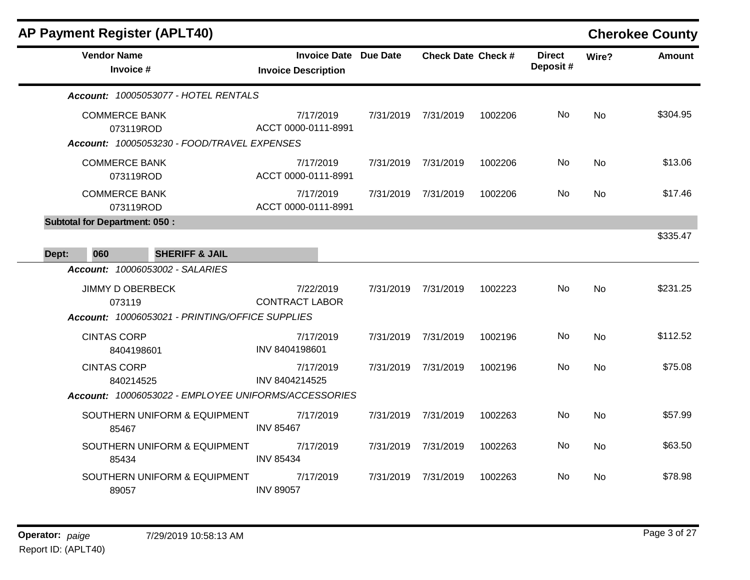|                                   |                                       | <b>AP Payment Register (APLT40)</b>             |                                                                                     |                     |                           |           |                           |           | <b>Cherokee County</b> |
|-----------------------------------|---------------------------------------|-------------------------------------------------|-------------------------------------------------------------------------------------|---------------------|---------------------------|-----------|---------------------------|-----------|------------------------|
|                                   | <b>Vendor Name</b><br>Invoice #       |                                                 | <b>Invoice Date Due Date</b><br><b>Invoice Description</b>                          |                     | <b>Check Date Check #</b> |           | <b>Direct</b><br>Deposit# | Wire?     | <b>Amount</b>          |
|                                   |                                       | Account: 10005053077 - HOTEL RENTALS            |                                                                                     |                     |                           |           |                           |           |                        |
|                                   | <b>COMMERCE BANK</b><br>073119ROD     | Account: 10005053230 - FOOD/TRAVEL EXPENSES     | 7/17/2019<br>ACCT 0000-0111-8991                                                    |                     | 7/31/2019 7/31/2019       | 1002206   | No.                       | No.       | \$304.95               |
| <b>COMMERCE BANK</b><br>073119ROD |                                       | 7/17/2019<br>ACCT 0000-0111-8991                |                                                                                     | 7/31/2019 7/31/2019 | 1002206                   | No        | <b>No</b>                 | \$13.06   |                        |
| <b>COMMERCE BANK</b><br>073119ROD |                                       | 7/17/2019<br>ACCT 0000-0111-8991                | 7/31/2019                                                                           | 7/31/2019           | 1002206                   | <b>No</b> | <b>No</b>                 | \$17.46   |                        |
|                                   | <b>Subtotal for Department: 050:</b>  |                                                 |                                                                                     |                     |                           |           |                           |           | \$335.47               |
| Dept:                             | 060                                   | <b>SHERIFF &amp; JAIL</b>                       |                                                                                     |                     |                           |           |                           |           |                        |
|                                   |                                       | <b>Account: 10006053002 - SALARIES</b>          |                                                                                     |                     |                           |           |                           |           |                        |
|                                   | <b>JIMMY D OBERBECK</b><br>073119     | Account: 10006053021 - PRINTING/OFFICE SUPPLIES | 7/22/2019<br><b>CONTRACT LABOR</b>                                                  | 7/31/2019           | 7/31/2019                 | 1002223   | No.                       | <b>No</b> | \$231.25               |
|                                   | <b>CINTAS CORP</b><br>8404198601      |                                                 | 7/17/2019<br>INV 8404198601                                                         | 7/31/2019           | 7/31/2019                 | 1002196   | <b>No</b>                 | No        | \$112.52               |
| <b>CINTAS CORP</b><br>840214525   |                                       |                                                 | 7/17/2019<br>INV 8404214525<br>Account: 10006053022 - EMPLOYEE UNIFORMS/ACCESSORIES | 7/31/2019           | 7/31/2019                 | 1002196   | No.                       | <b>No</b> | \$75.08                |
|                                   |                                       |                                                 |                                                                                     |                     |                           |           |                           |           |                        |
|                                   | 85467                                 | SOUTHERN UNIFORM & EQUIPMENT                    | 7/17/2019<br><b>INV 85467</b>                                                       | 7/31/2019           | 7/31/2019                 | 1002263   | No.                       | No.       | \$57.99                |
|                                   | SOUTHERN UNIFORM & EQUIPMENT<br>85434 |                                                 | 7/17/2019<br><b>INV 85434</b>                                                       | 7/31/2019           | 7/31/2019                 | 1002263   | No.                       | <b>No</b> | \$63.50                |
|                                   | 89057                                 | SOUTHERN UNIFORM & EQUIPMENT                    | 7/17/2019<br><b>INV 89057</b>                                                       |                     | 7/31/2019 7/31/2019       | 1002263   | No.                       | No.       | \$78.98                |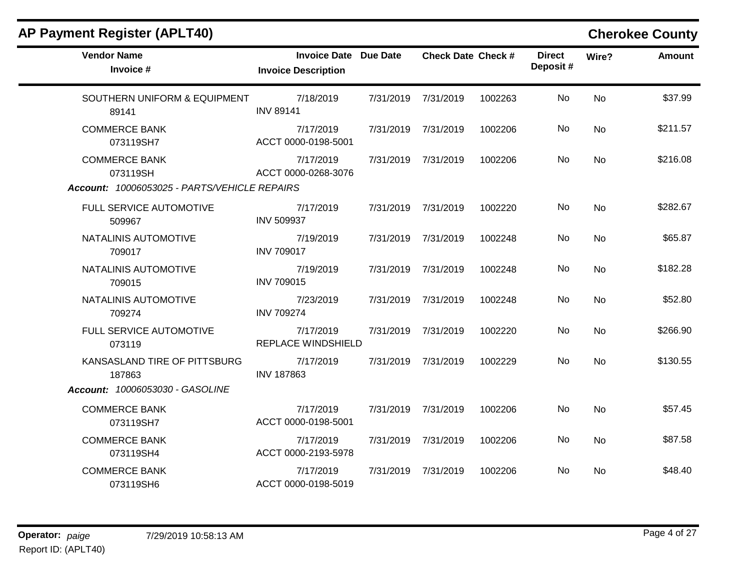| <b>Vendor Name</b><br>Invoice #                                                  | <b>Invoice Date Due Date</b><br><b>Invoice Description</b> | <b>Check Date Check #</b> |         | <b>Direct</b><br>Deposit# | Wire? | <b>Amount</b> |
|----------------------------------------------------------------------------------|------------------------------------------------------------|---------------------------|---------|---------------------------|-------|---------------|
| SOUTHERN UNIFORM & EQUIPMENT<br>89141                                            | 7/18/2019<br><b>INV 89141</b>                              | 7/31/2019 7/31/2019       | 1002263 | No                        | No    | \$37.99       |
| <b>COMMERCE BANK</b><br>073119SH7                                                | 7/17/2019<br>ACCT 0000-0198-5001                           | 7/31/2019 7/31/2019       | 1002206 | No                        | No    | \$211.57      |
| <b>COMMERCE BANK</b><br>073119SH<br>Account: 10006053025 - PARTS/VEHICLE REPAIRS | 7/17/2019<br>ACCT 0000-0268-3076                           | 7/31/2019 7/31/2019       | 1002206 | No.                       | No    | \$216.08      |
| FULL SERVICE AUTOMOTIVE<br>509967                                                | 7/17/2019<br><b>INV 509937</b>                             | 7/31/2019 7/31/2019       | 1002220 | No.                       | No    | \$282.67      |
| NATALINIS AUTOMOTIVE<br>709017                                                   | 7/19/2019<br><b>INV 709017</b>                             | 7/31/2019 7/31/2019       | 1002248 | No                        | No    | \$65.87       |
| NATALINIS AUTOMOTIVE<br>709015                                                   | 7/19/2019<br><b>INV 709015</b>                             | 7/31/2019 7/31/2019       | 1002248 | No.                       | No    | \$182.28      |
| NATALINIS AUTOMOTIVE<br>709274                                                   | 7/23/2019<br><b>INV 709274</b>                             | 7/31/2019 7/31/2019       | 1002248 | No                        | No    | \$52.80       |
| FULL SERVICE AUTOMOTIVE<br>073119                                                | 7/17/2019<br>REPLACE WINDSHIELD                            | 7/31/2019 7/31/2019       | 1002220 | No.                       | No    | \$266.90      |
| KANSASLAND TIRE OF PITTSBURG<br>187863                                           | 7/17/2019<br><b>INV 187863</b>                             | 7/31/2019 7/31/2019       | 1002229 | No.                       | No    | \$130.55      |
| Account: 10006053030 - GASOLINE                                                  |                                                            |                           |         |                           |       |               |
| <b>COMMERCE BANK</b><br>073119SH7                                                | 7/17/2019<br>ACCT 0000-0198-5001                           | 7/31/2019 7/31/2019       | 1002206 | No                        | No    | \$57.45       |
| <b>COMMERCE BANK</b><br>073119SH4                                                | 7/17/2019<br>ACCT 0000-2193-5978                           | 7/31/2019 7/31/2019       | 1002206 | No                        | No    | \$87.58       |
| <b>COMMERCE BANK</b><br>073119SH6                                                | 7/17/2019<br>ACCT 0000-0198-5019                           | 7/31/2019 7/31/2019       | 1002206 | No.                       | No    | \$48.40       |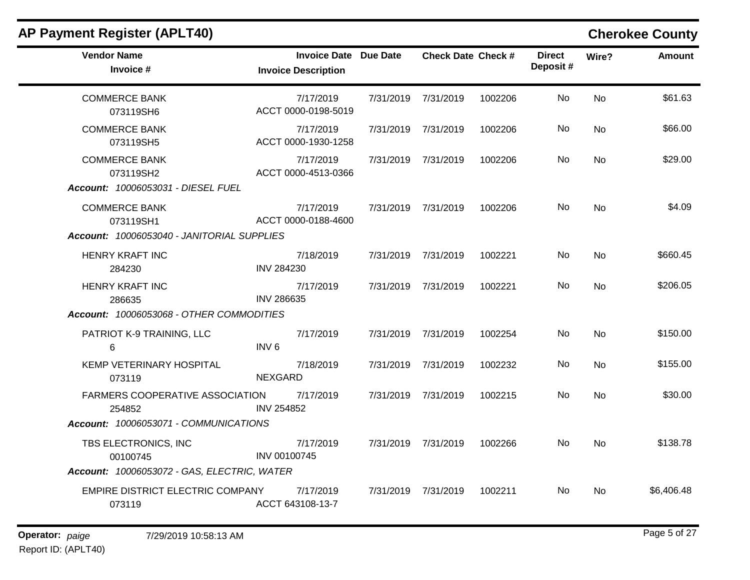| <b>Vendor Name</b><br>Invoice #                                                 | <b>Invoice Date Due Date</b><br><b>Invoice Description</b> | <b>Check Date Check #</b>   |         | <b>Direct</b><br>Deposit# | Wire?          | <b>Amount</b> |
|---------------------------------------------------------------------------------|------------------------------------------------------------|-----------------------------|---------|---------------------------|----------------|---------------|
| <b>COMMERCE BANK</b><br>073119SH6                                               | 7/17/2019<br>ACCT 0000-0198-5019                           | 7/31/2019 7/31/2019         | 1002206 | No.                       | N <sub>o</sub> | \$61.63       |
| <b>COMMERCE BANK</b><br>073119SH5                                               | 7/17/2019<br>ACCT 0000-1930-1258                           | 7/31/2019 7/31/2019         | 1002206 | No.                       | No             | \$66.00       |
| <b>COMMERCE BANK</b><br>073119SH2<br>Account: 10006053031 - DIESEL FUEL         | 7/17/2019<br>ACCT 0000-4513-0366                           | 7/31/2019 7/31/2019         | 1002206 | No                        | No.            | \$29.00       |
| <b>COMMERCE BANK</b><br>073119SH1<br>Account: 10006053040 - JANITORIAL SUPPLIES | 7/17/2019<br>ACCT 0000-0188-4600                           | 7/31/2019 7/31/2019         | 1002206 | No                        | No             | \$4.09        |
| HENRY KRAFT INC<br>284230                                                       | 7/18/2019<br><b>INV 284230</b>                             | 7/31/2019 7/31/2019         | 1002221 | No                        | No             | \$660.45      |
| <b>HENRY KRAFT INC</b><br>286635<br>Account: 10006053068 - OTHER COMMODITIES    | 7/17/2019<br><b>INV 286635</b>                             | 7/31/2019 7/31/2019         | 1002221 | No.                       | No.            | \$206.05      |
| PATRIOT K-9 TRAINING, LLC<br>6                                                  | 7/17/2019<br>INV <sub>6</sub>                              | 7/31/2019 7/31/2019         | 1002254 | No.                       | <b>No</b>      | \$150.00      |
| KEMP VETERINARY HOSPITAL<br>073119                                              | 7/18/2019<br><b>NEXGARD</b>                                | 7/31/2019 7/31/2019         | 1002232 | No.                       | No             | \$155.00      |
| FARMERS COOPERATIVE ASSOCIATION 7/17/2019<br>254852                             | <b>INV 254852</b>                                          | 7/31/2019 7/31/2019         | 1002215 | No                        | No             | \$30.00       |
| Account: 10006053071 - COMMUNICATIONS                                           |                                                            |                             |         |                           |                |               |
| TBS ELECTRONICS, INC<br>00100745                                                | 7/17/2019<br>INV 00100745                                  | 7/31/2019 7/31/2019 1002266 |         | No.                       | No.            | \$138.78      |
| Account: 10006053072 - GAS, ELECTRIC, WATER                                     |                                                            |                             |         |                           |                |               |
| EMPIRE DISTRICT ELECTRIC COMPANY<br>073119                                      | 7/17/2019<br>ACCT 643108-13-7                              | 7/31/2019 7/31/2019         | 1002211 | No.                       | No.            | \$6,406.48    |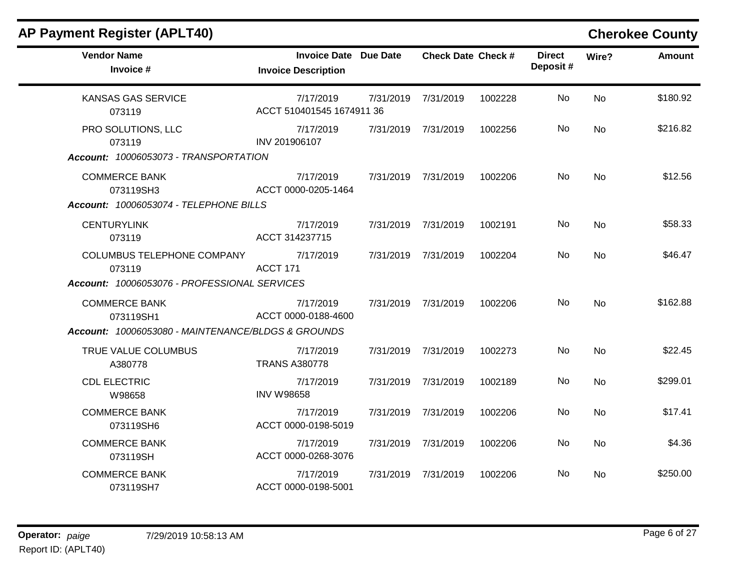| <b>AP Payment Register (APLT40)</b>                                                     |                                                            |           |                           |         |                           |           | <b>Cherokee County</b> |
|-----------------------------------------------------------------------------------------|------------------------------------------------------------|-----------|---------------------------|---------|---------------------------|-----------|------------------------|
| <b>Vendor Name</b><br>Invoice #                                                         | <b>Invoice Date Due Date</b><br><b>Invoice Description</b> |           | <b>Check Date Check #</b> |         | <b>Direct</b><br>Deposit# | Wire?     | <b>Amount</b>          |
| <b>KANSAS GAS SERVICE</b><br>073119                                                     | 7/17/2019<br>ACCT 510401545 1674911 36                     | 7/31/2019 | 7/31/2019                 | 1002228 | No                        | <b>No</b> | \$180.92               |
| PRO SOLUTIONS, LLC<br>073119<br>Account: 10006053073 - TRANSPORTATION                   | 7/17/2019<br>INV 201906107                                 | 7/31/2019 | 7/31/2019                 | 1002256 | No.                       | No        | \$216.82               |
| <b>COMMERCE BANK</b><br>073119SH3<br>Account: 10006053074 - TELEPHONE BILLS             | 7/17/2019<br>ACCT 0000-0205-1464                           | 7/31/2019 | 7/31/2019                 | 1002206 | No.                       | <b>No</b> | \$12.56                |
| <b>CENTURYLINK</b><br>073119                                                            | 7/17/2019<br>ACCT 314237715                                |           | 7/31/2019 7/31/2019       | 1002191 | No                        | No        | \$58.33                |
| COLUMBUS TELEPHONE COMPANY<br>073119<br>Account: 10006053076 - PROFESSIONAL SERVICES    | 7/17/2019<br>ACCT 171                                      | 7/31/2019 | 7/31/2019                 | 1002204 | No.                       | <b>No</b> | \$46.47                |
| <b>COMMERCE BANK</b><br>073119SH1<br>Account: 10006053080 - MAINTENANCE/BLDGS & GROUNDS | 7/17/2019<br>ACCT 0000-0188-4600                           | 7/31/2019 | 7/31/2019                 | 1002206 | No                        | <b>No</b> | \$162.88               |
| TRUE VALUE COLUMBUS<br>A380778                                                          | 7/17/2019<br><b>TRANS A380778</b>                          | 7/31/2019 | 7/31/2019                 | 1002273 | No.                       | <b>No</b> | \$22.45                |
| <b>CDL ELECTRIC</b><br>W98658                                                           | 7/17/2019<br><b>INV W98658</b>                             | 7/31/2019 | 7/31/2019                 | 1002189 | No.                       | <b>No</b> | \$299.01               |
| <b>COMMERCE BANK</b><br>073119SH6                                                       | 7/17/2019<br>ACCT 0000-0198-5019                           | 7/31/2019 | 7/31/2019                 | 1002206 | No                        | <b>No</b> | \$17.41                |
| <b>COMMERCE BANK</b><br>073119SH                                                        | 7/17/2019<br>ACCT 0000-0268-3076                           | 7/31/2019 | 7/31/2019                 | 1002206 | No                        | <b>No</b> | \$4.36                 |
| <b>COMMERCE BANK</b><br>073119SH7                                                       | 7/17/2019<br>ACCT 0000-0198-5001                           | 7/31/2019 | 7/31/2019                 | 1002206 | No.                       | No        | \$250.00               |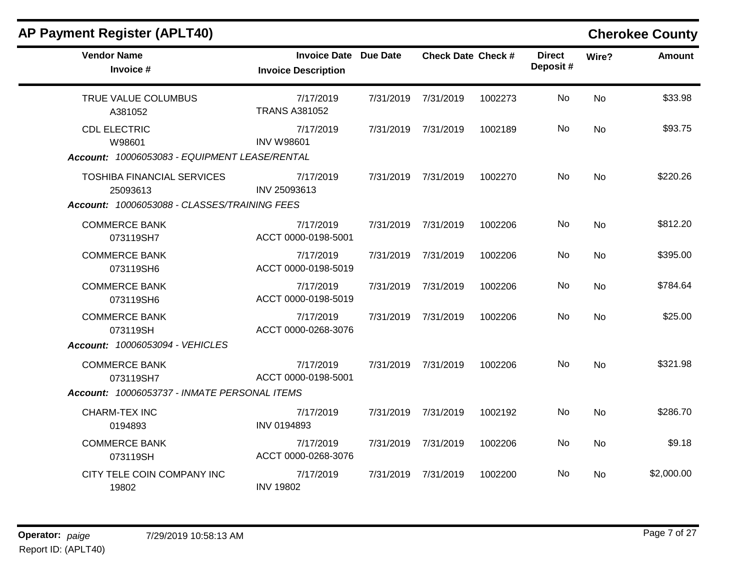| <b>AP Payment Register (APLT40)</b>                                                           |                                                            |           |                           |         |                           |           | <b>Cherokee County</b> |
|-----------------------------------------------------------------------------------------------|------------------------------------------------------------|-----------|---------------------------|---------|---------------------------|-----------|------------------------|
| <b>Vendor Name</b><br>Invoice #                                                               | <b>Invoice Date Due Date</b><br><b>Invoice Description</b> |           | <b>Check Date Check #</b> |         | <b>Direct</b><br>Deposit# | Wire?     | <b>Amount</b>          |
| TRUE VALUE COLUMBUS<br>A381052                                                                | 7/17/2019<br><b>TRANS A381052</b>                          |           | 7/31/2019 7/31/2019       | 1002273 | No.                       | No        | \$33.98                |
| <b>CDL ELECTRIC</b><br>W98601<br>Account: 10006053083 - EQUIPMENT LEASE/RENTAL                | 7/17/2019<br><b>INV W98601</b>                             | 7/31/2019 | 7/31/2019                 | 1002189 | No                        | No        | \$93.75                |
| <b>TOSHIBA FINANCIAL SERVICES</b><br>25093613<br>Account: 10006053088 - CLASSES/TRAINING FEES | 7/17/2019<br>INV 25093613                                  | 7/31/2019 | 7/31/2019                 | 1002270 | No.                       | <b>No</b> | \$220.26               |
| <b>COMMERCE BANK</b><br>073119SH7                                                             | 7/17/2019<br>ACCT 0000-0198-5001                           |           | 7/31/2019 7/31/2019       | 1002206 | No.                       | No.       | \$812.20               |
| <b>COMMERCE BANK</b><br>073119SH6                                                             | 7/17/2019<br>ACCT 0000-0198-5019                           | 7/31/2019 | 7/31/2019                 | 1002206 | No.                       | No        | \$395.00               |
| <b>COMMERCE BANK</b><br>073119SH6                                                             | 7/17/2019<br>ACCT 0000-0198-5019                           | 7/31/2019 | 7/31/2019                 | 1002206 | No.                       | No        | \$784.64               |
| <b>COMMERCE BANK</b><br>073119SH<br>Account: 10006053094 - VEHICLES                           | 7/17/2019<br>ACCT 0000-0268-3076                           | 7/31/2019 | 7/31/2019                 | 1002206 | No                        | No        | \$25.00                |
| <b>COMMERCE BANK</b><br>073119SH7<br>Account: 10006053737 - INMATE PERSONAL ITEMS             | 7/17/2019<br>ACCT 0000-0198-5001                           | 7/31/2019 | 7/31/2019                 | 1002206 | No.                       | <b>No</b> | \$321.98               |
| CHARM-TEX INC<br>0194893                                                                      | 7/17/2019<br>INV 0194893                                   |           | 7/31/2019 7/31/2019       | 1002192 | No.                       | No.       | \$286.70               |
| <b>COMMERCE BANK</b><br>073119SH                                                              | 7/17/2019<br>ACCT 0000-0268-3076                           | 7/31/2019 | 7/31/2019                 | 1002206 | No.                       | No        | \$9.18                 |
| CITY TELE COIN COMPANY INC<br>19802                                                           | 7/17/2019<br><b>INV 19802</b>                              | 7/31/2019 | 7/31/2019                 | 1002200 | No.                       | No.       | \$2,000.00             |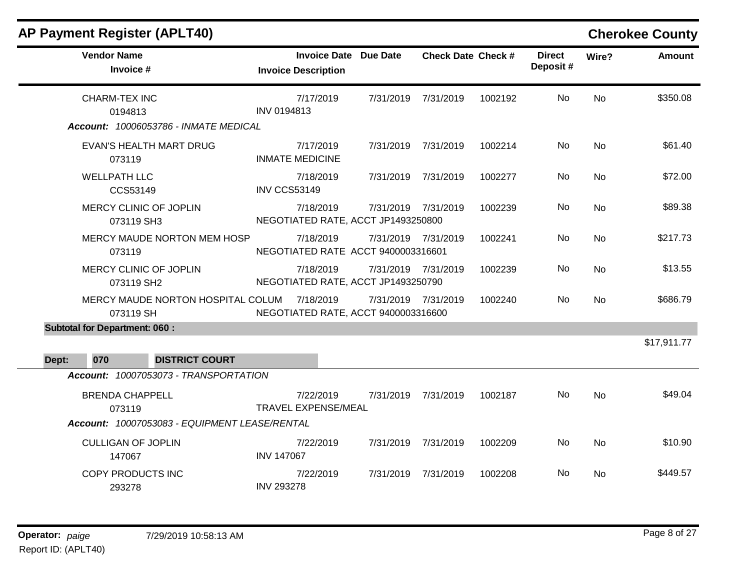| <b>Invoice Description</b>          |                                                                                                                                                                                                               |                                                            |                                                                                                                                                                                                                                                                                                                                                                         | <b>Direct</b><br>Deposit# | Wire?     | <b>Amount</b> |
|-------------------------------------|---------------------------------------------------------------------------------------------------------------------------------------------------------------------------------------------------------------|------------------------------------------------------------|-------------------------------------------------------------------------------------------------------------------------------------------------------------------------------------------------------------------------------------------------------------------------------------------------------------------------------------------------------------------------|---------------------------|-----------|---------------|
| 7/17/2019<br>INV 0194813            |                                                                                                                                                                                                               |                                                            | 1002192                                                                                                                                                                                                                                                                                                                                                                 | No                        | No.       | \$350.08      |
|                                     |                                                                                                                                                                                                               |                                                            |                                                                                                                                                                                                                                                                                                                                                                         |                           |           |               |
| 7/17/2019<br><b>INMATE MEDICINE</b> |                                                                                                                                                                                                               |                                                            | 1002214                                                                                                                                                                                                                                                                                                                                                                 | No                        | <b>No</b> | \$61.40       |
| 7/18/2019<br><b>INV CCS53149</b>    |                                                                                                                                                                                                               |                                                            | 1002277                                                                                                                                                                                                                                                                                                                                                                 | No.                       | No        | \$72.00       |
| 7/18/2019                           |                                                                                                                                                                                                               |                                                            | 1002239                                                                                                                                                                                                                                                                                                                                                                 | No.                       | <b>No</b> | \$89.38       |
| 7/18/2019                           |                                                                                                                                                                                                               |                                                            | 1002241                                                                                                                                                                                                                                                                                                                                                                 | No                        | <b>No</b> | \$217.73      |
| 7/18/2019                           |                                                                                                                                                                                                               |                                                            | 1002239                                                                                                                                                                                                                                                                                                                                                                 | No.                       | No        | \$13.55       |
|                                     |                                                                                                                                                                                                               |                                                            | 1002240                                                                                                                                                                                                                                                                                                                                                                 | No                        | <b>No</b> | \$686.79      |
|                                     |                                                                                                                                                                                                               |                                                            |                                                                                                                                                                                                                                                                                                                                                                         |                           |           |               |
|                                     |                                                                                                                                                                                                               |                                                            |                                                                                                                                                                                                                                                                                                                                                                         |                           |           | \$17,911.77   |
|                                     |                                                                                                                                                                                                               |                                                            |                                                                                                                                                                                                                                                                                                                                                                         |                           |           |               |
| 7/22/2019                           |                                                                                                                                                                                                               |                                                            | 1002187                                                                                                                                                                                                                                                                                                                                                                 | No.                       | <b>No</b> | \$49.04       |
|                                     |                                                                                                                                                                                                               |                                                            |                                                                                                                                                                                                                                                                                                                                                                         |                           |           |               |
| 7/22/2019<br><b>INV 147067</b>      |                                                                                                                                                                                                               |                                                            | 1002209                                                                                                                                                                                                                                                                                                                                                                 | No                        | <b>No</b> | \$10.90       |
| 7/22/2019<br><b>INV 293278</b>      | 7/31/2019                                                                                                                                                                                                     | 7/31/2019                                                  | 1002208                                                                                                                                                                                                                                                                                                                                                                 | No.                       | No        | \$449.57      |
|                                     | Account: 10006053786 - INMATE MEDICAL<br>MERCY MAUDE NORTON MEM HOSP<br>MERCY MAUDE NORTON HOSPITAL COLUM 7/18/2019<br>Account: 10007053073 - TRANSPORTATION<br>Account: 10007053083 - EQUIPMENT LEASE/RENTAL | <b>Invoice Date Due Date</b><br><b>TRAVEL EXPENSE/MEAL</b> | 7/31/2019 7/31/2019<br>7/31/2019 7/31/2019<br>7/31/2019 7/31/2019<br>7/31/2019 7/31/2019<br>NEGOTIATED RATE, ACCT JP1493250800<br>7/31/2019 7/31/2019<br>NEGOTIATED RATE ACCT 9400003316601<br>7/31/2019 7/31/2019<br>NEGOTIATED RATE, ACCT JP1493250790<br>7/31/2019 7/31/2019<br>NEGOTIATED RATE, ACCT 9400003316600<br>7/31/2019<br>7/31/2019<br>7/31/2019 7/31/2019 | <b>Check Date Check #</b> |           |               |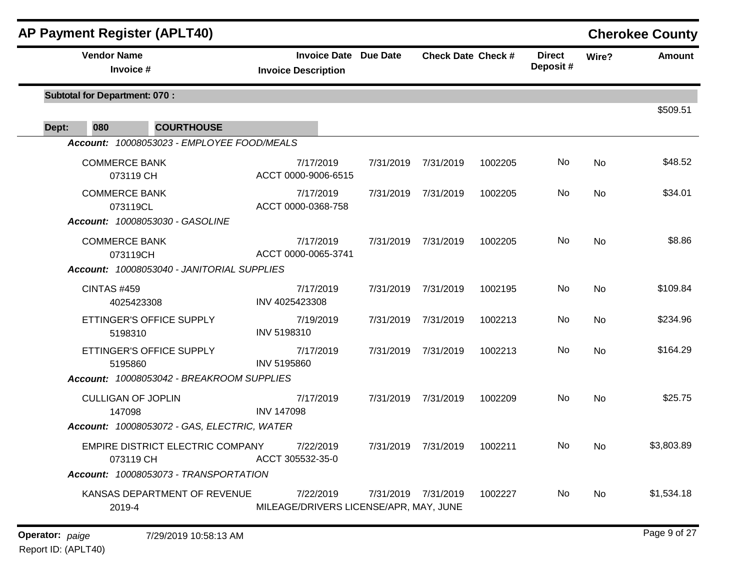| <b>AP Payment Register (APLT40)</b>                                                                               |                                                            |           |                           |         |                           |           | <b>Cherokee County</b> |
|-------------------------------------------------------------------------------------------------------------------|------------------------------------------------------------|-----------|---------------------------|---------|---------------------------|-----------|------------------------|
| <b>Vendor Name</b><br>Invoice #                                                                                   | <b>Invoice Date Due Date</b><br><b>Invoice Description</b> |           | <b>Check Date Check #</b> |         | <b>Direct</b><br>Deposit# | Wire?     | <b>Amount</b>          |
| <b>Subtotal for Department: 070:</b>                                                                              |                                                            |           |                           |         |                           |           | \$509.51               |
| 080<br>Dept:<br><b>COURTHOUSE</b>                                                                                 |                                                            |           |                           |         |                           |           |                        |
| Account: 10008053023 - EMPLOYEE FOOD/MEALS                                                                        |                                                            |           |                           |         |                           |           |                        |
| <b>COMMERCE BANK</b><br>073119 CH                                                                                 | 7/17/2019<br>ACCT 0000-9006-6515                           | 7/31/2019 | 7/31/2019                 | 1002205 | No                        | <b>No</b> | \$48.52                |
| <b>COMMERCE BANK</b><br>073119CL                                                                                  | 7/17/2019<br>ACCT 0000-0368-758                            | 7/31/2019 | 7/31/2019                 | 1002205 | No                        | No        | \$34.01                |
| Account: 10008053030 - GASOLINE<br><b>COMMERCE BANK</b><br>073119CH<br>Account: 10008053040 - JANITORIAL SUPPLIES | 7/17/2019<br>ACCT 0000-0065-3741                           | 7/31/2019 | 7/31/2019                 | 1002205 | No                        | <b>No</b> | \$8.86                 |
| <b>CINTAS #459</b><br>4025423308                                                                                  | 7/17/2019<br>INV 4025423308                                | 7/31/2019 | 7/31/2019                 | 1002195 | No                        | No        | \$109.84               |
| ETTINGER'S OFFICE SUPPLY<br>5198310                                                                               | 7/19/2019<br>INV 5198310                                   | 7/31/2019 | 7/31/2019                 | 1002213 | No                        | No        | \$234.96               |
| ETTINGER'S OFFICE SUPPLY<br>5195860                                                                               | 7/17/2019<br>INV 5195860                                   | 7/31/2019 | 7/31/2019                 | 1002213 | No                        | <b>No</b> | \$164.29               |
| Account: 10008053042 - BREAKROOM SUPPLIES                                                                         |                                                            |           |                           |         |                           |           |                        |
| <b>CULLIGAN OF JOPLIN</b><br>147098                                                                               | 7/17/2019<br><b>INV 147098</b>                             |           | 7/31/2019 7/31/2019       | 1002209 | No                        | <b>No</b> | \$25.75                |
| Account: 10008053072 - GAS, ELECTRIC, WATER                                                                       |                                                            |           |                           |         |                           |           |                        |
| EMPIRE DISTRICT ELECTRIC COMPANY<br>073119 CH                                                                     | 7/22/2019<br>ACCT 305532-35-0                              |           | 7/31/2019 7/31/2019       | 1002211 | No                        | No        | \$3,803.89             |
| Account: 10008053073 - TRANSPORTATION                                                                             |                                                            |           |                           |         |                           |           |                        |
| KANSAS DEPARTMENT OF REVENUE<br>2019-4                                                                            | 7/22/2019<br>MILEAGE/DRIVERS LICENSE/APR, MAY, JUNE        |           | 7/31/2019 7/31/2019       | 1002227 | No.                       | No        | \$1,534.18             |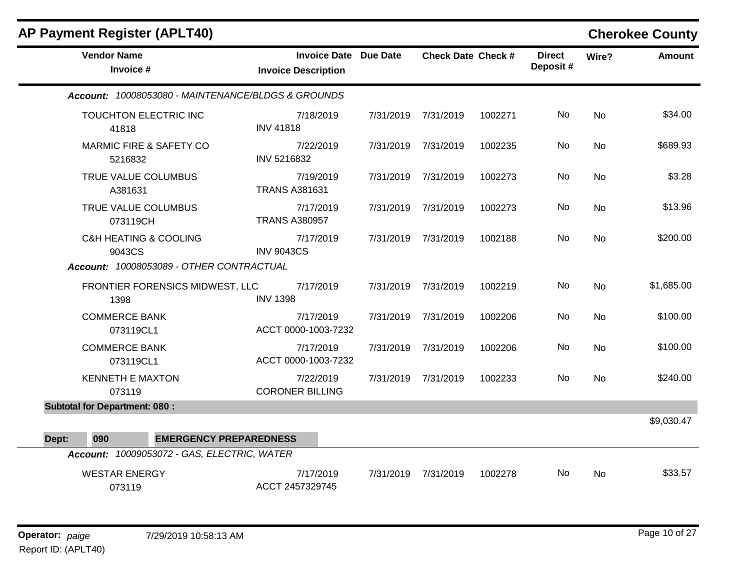|       | <b>AP Payment Register (APLT40)</b>                                                 |                                                            |           |                           |         |                           |           | <b>Cherokee County</b> |
|-------|-------------------------------------------------------------------------------------|------------------------------------------------------------|-----------|---------------------------|---------|---------------------------|-----------|------------------------|
|       | <b>Vendor Name</b><br>Invoice #                                                     | <b>Invoice Date Due Date</b><br><b>Invoice Description</b> |           | <b>Check Date Check #</b> |         | <b>Direct</b><br>Deposit# | Wire?     | <b>Amount</b>          |
|       | Account: 10008053080 - MAINTENANCE/BLDGS & GROUNDS                                  |                                                            |           |                           |         |                           |           |                        |
|       | TOUCHTON ELECTRIC INC<br>41818                                                      | 7/18/2019<br><b>INV 41818</b>                              | 7/31/2019 | 7/31/2019                 | 1002271 | No.                       | No        | \$34.00                |
|       | <b>MARMIC FIRE &amp; SAFETY CO</b><br>5216832                                       | 7/22/2019<br>INV 5216832                                   |           | 7/31/2019 7/31/2019       | 1002235 | No                        | No        | \$689.93               |
|       | TRUE VALUE COLUMBUS<br>A381631                                                      | 7/19/2019<br><b>TRANS A381631</b>                          | 7/31/2019 | 7/31/2019                 | 1002273 | No.                       | No        | \$3.28                 |
|       | TRUE VALUE COLUMBUS<br>073119CH                                                     | 7/17/2019<br><b>TRANS A380957</b>                          | 7/31/2019 | 7/31/2019                 | 1002273 | No                        | No        | \$13.96                |
|       | <b>C&amp;H HEATING &amp; COOLING</b><br>9043CS                                      | 7/17/2019<br><b>INV 9043CS</b>                             |           | 7/31/2019 7/31/2019       | 1002188 | No.                       | No        | \$200.00               |
|       | Account: 10008053089 - OTHER CONTRACTUAL                                            |                                                            |           |                           |         |                           |           |                        |
|       | FRONTIER FORENSICS MIDWEST, LLC<br>1398                                             | 7/17/2019<br><b>INV 1398</b>                               | 7/31/2019 | 7/31/2019                 | 1002219 | <b>No</b>                 | No        | \$1,685.00             |
|       | <b>COMMERCE BANK</b><br>073119CL1                                                   | 7/17/2019<br>ACCT 0000-1003-7232                           | 7/31/2019 | 7/31/2019                 | 1002206 | No                        | <b>No</b> | \$100.00               |
|       | <b>COMMERCE BANK</b><br>073119CL1                                                   | 7/17/2019<br>ACCT 0000-1003-7232                           |           | 7/31/2019 7/31/2019       | 1002206 | No.                       | No        | \$100.00               |
|       | <b>KENNETH E MAXTON</b><br>073119                                                   | 7/22/2019<br><b>CORONER BILLING</b>                        |           | 7/31/2019 7/31/2019       | 1002233 | No                        | <b>No</b> | \$240.00               |
|       | <b>Subtotal for Department: 080:</b>                                                |                                                            |           |                           |         |                           |           |                        |
|       |                                                                                     |                                                            |           |                           |         |                           |           | \$9,030.47             |
| Dept: | 090<br><b>EMERGENCY PREPAREDNESS</b><br>Account: 10009053072 - GAS, ELECTRIC, WATER |                                                            |           |                           |         |                           |           |                        |
|       | <b>WESTAR ENERGY</b><br>073119                                                      | 7/17/2019<br>ACCT 2457329745                               | 7/31/2019 | 7/31/2019                 | 1002278 | No.                       | <b>No</b> | \$33.57                |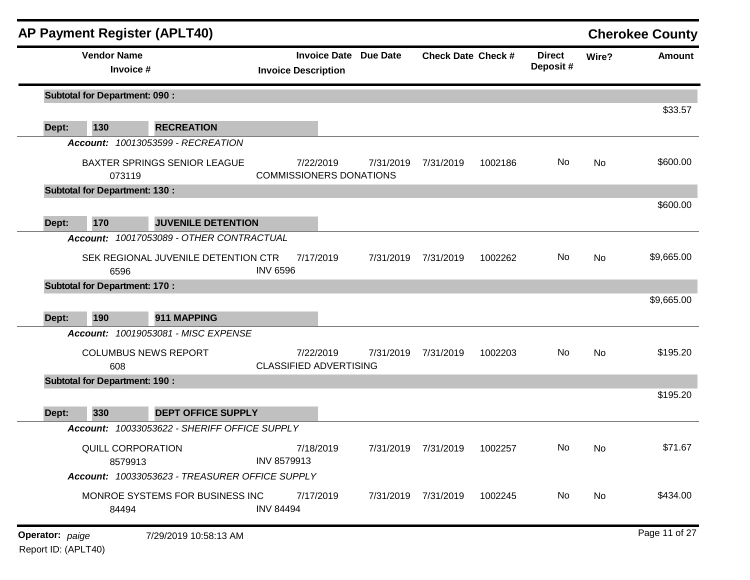|                 | <b>AP Payment Register (APLT40)</b>  |                                                    |                  |                                                            |                     |                           |         |                           |       | <b>Cherokee County</b> |
|-----------------|--------------------------------------|----------------------------------------------------|------------------|------------------------------------------------------------|---------------------|---------------------------|---------|---------------------------|-------|------------------------|
|                 | <b>Vendor Name</b><br>Invoice #      |                                                    |                  | <b>Invoice Date Due Date</b><br><b>Invoice Description</b> |                     | <b>Check Date Check #</b> |         | <b>Direct</b><br>Deposit# | Wire? | Amount                 |
|                 | <b>Subtotal for Department: 090:</b> |                                                    |                  |                                                            |                     |                           |         |                           |       |                        |
| Dept:           | 130                                  | <b>RECREATION</b>                                  |                  |                                                            |                     |                           |         |                           |       | \$33.57                |
|                 |                                      | Account: 10013053599 - RECREATION                  |                  |                                                            |                     |                           |         |                           |       |                        |
|                 | 073119                               | <b>BAXTER SPRINGS SENIOR LEAGUE</b>                |                  | 7/22/2019<br><b>COMMISSIONERS DONATIONS</b>                | 7/31/2019           | 7/31/2019                 | 1002186 | No                        | No    | \$600.00               |
|                 | <b>Subtotal for Department: 130:</b> |                                                    |                  |                                                            |                     |                           |         |                           |       |                        |
| Dept:           | 170                                  | <b>JUVENILE DETENTION</b>                          |                  |                                                            |                     |                           |         |                           |       | \$600.00               |
|                 |                                      | Account: 10017053089 - OTHER CONTRACTUAL           |                  |                                                            |                     |                           |         |                           |       |                        |
|                 | 6596                                 | SEK REGIONAL JUVENILE DETENTION CTR                | <b>INV 6596</b>  | 7/17/2019                                                  | 7/31/2019           | 7/31/2019                 | 1002262 | No                        | No    | \$9,665.00             |
|                 | <b>Subtotal for Department: 170:</b> |                                                    |                  |                                                            |                     |                           |         |                           |       |                        |
|                 |                                      |                                                    |                  |                                                            |                     |                           |         |                           |       | \$9,665.00             |
| Dept:           | 190                                  | 911 MAPPING<br>Account: 10019053081 - MISC EXPENSE |                  |                                                            |                     |                           |         |                           |       |                        |
|                 |                                      |                                                    |                  |                                                            |                     |                           |         |                           |       |                        |
|                 | <b>COLUMBUS NEWS REPORT</b><br>608   |                                                    |                  | 7/22/2019<br><b>CLASSIFIED ADVERTISING</b>                 | 7/31/2019           | 7/31/2019                 | 1002203 | No                        | No    | \$195.20               |
|                 | <b>Subtotal for Department: 190:</b> |                                                    |                  |                                                            |                     |                           |         |                           |       |                        |
|                 |                                      |                                                    |                  |                                                            |                     |                           |         |                           |       | \$195.20               |
| Dept:           | 330                                  | <b>DEPT OFFICE SUPPLY</b>                          |                  |                                                            |                     |                           |         |                           |       |                        |
|                 |                                      | Account: 10033053622 - SHERIFF OFFICE SUPPLY       |                  |                                                            |                     |                           |         |                           |       |                        |
|                 | QUILL CORPORATION<br>8579913         |                                                    | INV 8579913      | 7/18/2019                                                  | 7/31/2019 7/31/2019 |                           | 1002257 | No                        | No.   | \$71.67                |
|                 |                                      | Account: 10033053623 - TREASURER OFFICE SUPPLY     |                  |                                                            |                     |                           |         |                           |       |                        |
|                 | 84494                                | MONROE SYSTEMS FOR BUSINESS INC                    | <b>INV 84494</b> | 7/17/2019                                                  |                     | 7/31/2019 7/31/2019       | 1002245 | No                        | No    | \$434.00               |
| Operator: paige |                                      | 7/29/2019 10:58:13 AM                              |                  |                                                            |                     |                           |         |                           |       | Page 11 of 27          |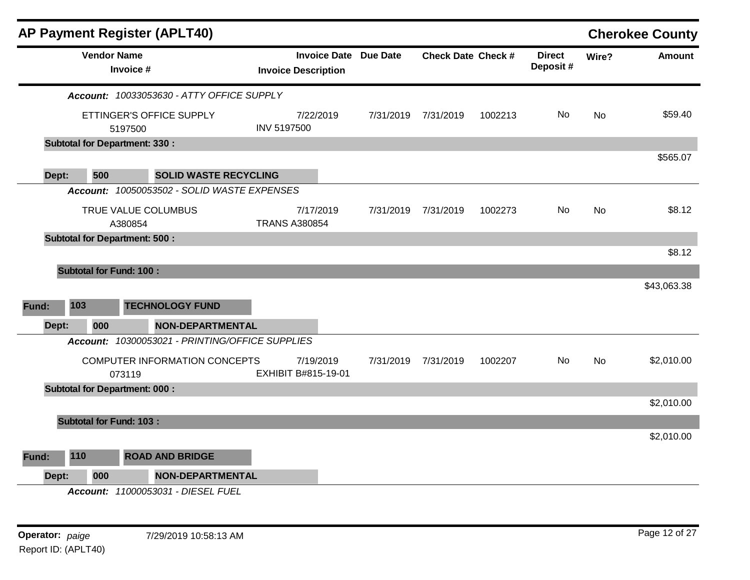|       |                                | AP Payment Register (APLT40)                    |                            |                                   |                              |                           |         |                           |           | <b>Cherokee County</b> |
|-------|--------------------------------|-------------------------------------------------|----------------------------|-----------------------------------|------------------------------|---------------------------|---------|---------------------------|-----------|------------------------|
|       | <b>Vendor Name</b>             | Invoice #                                       | <b>Invoice Description</b> |                                   | <b>Invoice Date Due Date</b> | <b>Check Date Check #</b> |         | <b>Direct</b><br>Deposit# | Wire?     | Amount                 |
|       |                                | Account: 10033053630 - ATTY OFFICE SUPPLY       |                            |                                   |                              |                           |         |                           |           |                        |
|       |                                | ETTINGER'S OFFICE SUPPLY<br>5197500             | <b>INV 5197500</b>         | 7/22/2019                         | 7/31/2019                    | 7/31/2019                 | 1002213 | No.                       | <b>No</b> | \$59.40                |
|       |                                | <b>Subtotal for Department: 330:</b>            |                            |                                   |                              |                           |         |                           |           |                        |
| Dept: | 500                            | <b>SOLID WASTE RECYCLING</b>                    |                            |                                   |                              |                           |         |                           |           | \$565.07               |
|       |                                | Account: 10050053502 - SOLID WASTE EXPENSES     |                            |                                   |                              |                           |         |                           |           |                        |
|       | TRUE VALUE COLUMBUS<br>A380854 |                                                 |                            | 7/17/2019<br><b>TRANS A380854</b> | 7/31/2019                    | 7/31/2019                 | 1002273 | No.                       | No        | \$8.12                 |
|       |                                | <b>Subtotal for Department: 500:</b>            |                            |                                   |                              |                           |         |                           |           |                        |
|       |                                |                                                 |                            |                                   |                              |                           |         |                           |           | \$8.12                 |
|       | <b>Subtotal for Fund: 100:</b> |                                                 |                            |                                   |                              |                           |         |                           |           |                        |
|       |                                |                                                 |                            |                                   |                              |                           |         |                           |           | \$43,063.38            |
| Fund: | 103                            | <b>TECHNOLOGY FUND</b>                          |                            |                                   |                              |                           |         |                           |           |                        |
| Dept: | 000                            | <b>NON-DEPARTMENTAL</b>                         |                            |                                   |                              |                           |         |                           |           |                        |
|       |                                | Account: 10300053021 - PRINTING/OFFICE SUPPLIES |                            |                                   |                              |                           |         |                           |           |                        |
|       |                                | COMPUTER INFORMATION CONCEPTS<br>073119         | EXHIBIT B#815-19-01        | 7/19/2019                         | 7/31/2019                    | 7/31/2019                 | 1002207 | No.                       | No        | \$2,010.00             |
|       |                                | <b>Subtotal for Department: 000:</b>            |                            |                                   |                              |                           |         |                           |           |                        |
|       |                                |                                                 |                            |                                   |                              |                           |         |                           |           | \$2,010.00             |
|       | <b>Subtotal for Fund: 103:</b> |                                                 |                            |                                   |                              |                           |         |                           |           |                        |
|       |                                |                                                 |                            |                                   |                              |                           |         |                           |           | \$2,010.00             |
| Fund: | 110                            | <b>ROAD AND BRIDGE</b>                          |                            |                                   |                              |                           |         |                           |           |                        |
| Dept: | 000                            | <b>NON-DEPARTMENTAL</b>                         |                            |                                   |                              |                           |         |                           |           |                        |
|       |                                | Account: 11000053031 - DIESEL FUEL              |                            |                                   |                              |                           |         |                           |           |                        |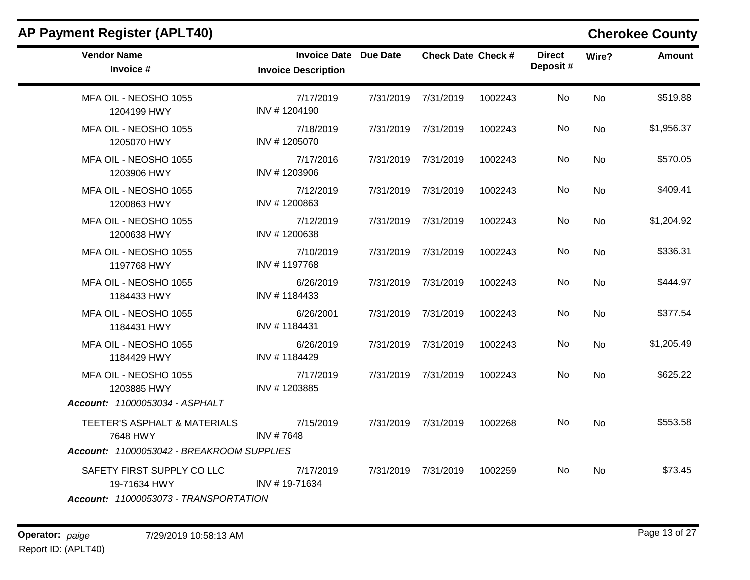| <b>Vendor Name</b><br>Invoice #                                                       | <b>Invoice Date Due Date</b><br><b>Invoice Description</b> | <b>Check Date Check #</b> |         | <b>Direct</b><br>Deposit# | Wire?     | <b>Amount</b> |
|---------------------------------------------------------------------------------------|------------------------------------------------------------|---------------------------|---------|---------------------------|-----------|---------------|
| MFA OIL - NEOSHO 1055<br>1204199 HWY                                                  | 7/17/2019<br>INV #1204190                                  | 7/31/2019 7/31/2019       | 1002243 | No.                       | No        | \$519.88      |
| MFA OIL - NEOSHO 1055<br>1205070 HWY                                                  | 7/18/2019<br>INV #1205070                                  | 7/31/2019 7/31/2019       | 1002243 | No.                       | No        | \$1,956.37    |
| MFA OIL - NEOSHO 1055<br>1203906 HWY                                                  | 7/17/2016<br>INV #1203906                                  | 7/31/2019 7/31/2019       | 1002243 | No                        | No.       | \$570.05      |
| MFA OIL - NEOSHO 1055<br>1200863 HWY                                                  | 7/12/2019<br>INV #1200863                                  | 7/31/2019 7/31/2019       | 1002243 | No.                       | No        | \$409.41      |
| MFA OIL - NEOSHO 1055<br>1200638 HWY                                                  | 7/12/2019<br>INV #1200638                                  | 7/31/2019 7/31/2019       | 1002243 | No                        | No        | \$1,204.92    |
| MFA OIL - NEOSHO 1055<br>1197768 HWY                                                  | 7/10/2019<br>INV #1197768                                  | 7/31/2019 7/31/2019       | 1002243 | No.                       | No        | \$336.31      |
| MFA OIL - NEOSHO 1055<br>1184433 HWY                                                  | 6/26/2019<br>INV #1184433                                  | 7/31/2019 7/31/2019       | 1002243 | No                        | <b>No</b> | \$444.97      |
| MFA OIL - NEOSHO 1055<br>1184431 HWY                                                  | 6/26/2001<br>INV #1184431                                  | 7/31/2019 7/31/2019       | 1002243 | No.                       | No.       | \$377.54      |
| MFA OIL - NEOSHO 1055<br>1184429 HWY                                                  | 6/26/2019<br>INV #1184429                                  | 7/31/2019 7/31/2019       | 1002243 | No                        | No        | \$1,205.49    |
| MFA OIL - NEOSHO 1055<br>1203885 HWY<br>Account: 11000053034 - ASPHALT                | 7/17/2019<br>INV #1203885                                  | 7/31/2019 7/31/2019       | 1002243 | No                        | No        | \$625.22      |
| TEETER'S ASPHALT & MATERIALS<br>7648 HWY<br>Account: 11000053042 - BREAKROOM SUPPLIES | 7/15/2019<br>INV #7648                                     | 7/31/2019 7/31/2019       | 1002268 | No.                       | No.       | \$553.58      |
| SAFETY FIRST SUPPLY CO LLC<br>19-71634 HWY<br>Account: 11000053073 - TRANSPORTATION   | 7/17/2019<br>INV #19-71634                                 | 7/31/2019 7/31/2019       | 1002259 | No.                       | <b>No</b> | \$73.45       |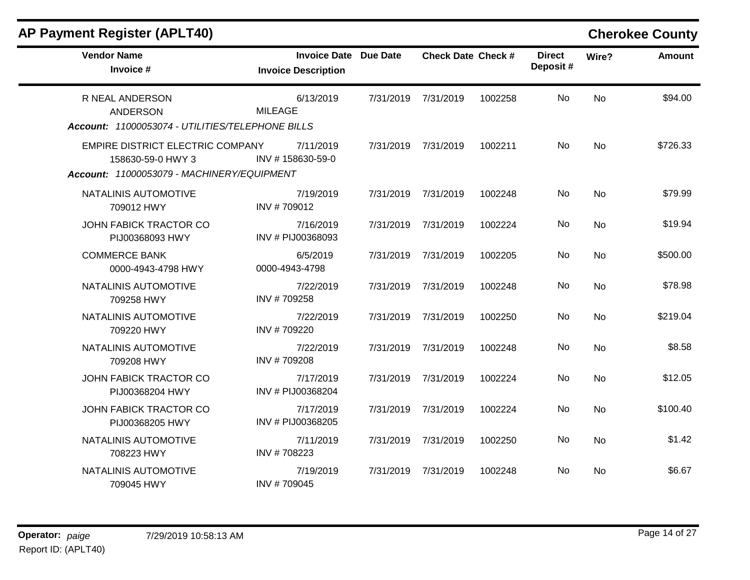|  |  |  | AP Payment Register (APLT40) |
|--|--|--|------------------------------|
|--|--|--|------------------------------|

### **Cherokee County**

| <b>Vendor Name</b><br>Invoice #                                                                     | <b>Invoice Date Due Date</b><br><b>Invoice Description</b> |           | <b>Check Date Check #</b> |         | <b>Direct</b><br>Deposit# | Wire?     | <b>Amount</b> |
|-----------------------------------------------------------------------------------------------------|------------------------------------------------------------|-----------|---------------------------|---------|---------------------------|-----------|---------------|
| R NEAL ANDERSON<br><b>ANDERSON</b><br>Account: 11000053074 - UTILITIES/TELEPHONE BILLS              | 6/13/2019<br><b>MILEAGE</b>                                | 7/31/2019 | 7/31/2019                 | 1002258 | No.                       | <b>No</b> | \$94.00       |
| EMPIRE DISTRICT ELECTRIC COMPANY<br>158630-59-0 HWY 3<br>Account: 11000053079 - MACHINERY/EQUIPMENT | 7/11/2019<br>INV #158630-59-0                              | 7/31/2019 | 7/31/2019                 | 1002211 | No                        | <b>No</b> | \$726.33      |
| NATALINIS AUTOMOTIVE<br>709012 HWY                                                                  | 7/19/2019<br>INV #709012                                   | 7/31/2019 | 7/31/2019                 | 1002248 | No                        | <b>No</b> | \$79.99       |
| JOHN FABICK TRACTOR CO<br>PIJ00368093 HWY                                                           | 7/16/2019<br>INV # PIJ00368093                             | 7/31/2019 | 7/31/2019                 | 1002224 | No                        | No        | \$19.94       |
| <b>COMMERCE BANK</b><br>0000-4943-4798 HWY                                                          | 6/5/2019<br>0000-4943-4798                                 | 7/31/2019 | 7/31/2019                 | 1002205 | No.                       | <b>No</b> | \$500.00      |
| NATALINIS AUTOMOTIVE<br>709258 HWY                                                                  | 7/22/2019<br>INV #709258                                   | 7/31/2019 | 7/31/2019                 | 1002248 | No.                       | <b>No</b> | \$78.98       |
| NATALINIS AUTOMOTIVE<br>709220 HWY                                                                  | 7/22/2019<br>INV #709220                                   | 7/31/2019 | 7/31/2019                 | 1002250 | No                        | <b>No</b> | \$219.04      |
| NATALINIS AUTOMOTIVE<br>709208 HWY                                                                  | 7/22/2019<br>INV #709208                                   | 7/31/2019 | 7/31/2019                 | 1002248 | No                        | <b>No</b> | \$8.58        |
| JOHN FABICK TRACTOR CO<br>PIJ00368204 HWY                                                           | 7/17/2019<br>INV # PIJ00368204                             | 7/31/2019 | 7/31/2019                 | 1002224 | No                        | <b>No</b> | \$12.05       |
| <b>JOHN FABICK TRACTOR CO</b><br>PIJ00368205 HWY                                                    | 7/17/2019<br>INV # PIJ00368205                             | 7/31/2019 | 7/31/2019                 | 1002224 | <b>No</b>                 | <b>No</b> | \$100.40      |
| NATALINIS AUTOMOTIVE<br>708223 HWY                                                                  | 7/11/2019<br>INV #708223                                   | 7/31/2019 | 7/31/2019                 | 1002250 | No.                       | <b>No</b> | \$1.42        |
| NATALINIS AUTOMOTIVE<br>709045 HWY                                                                  | 7/19/2019<br>INV #709045                                   | 7/31/2019 | 7/31/2019                 | 1002248 | No                        | No        | \$6.67        |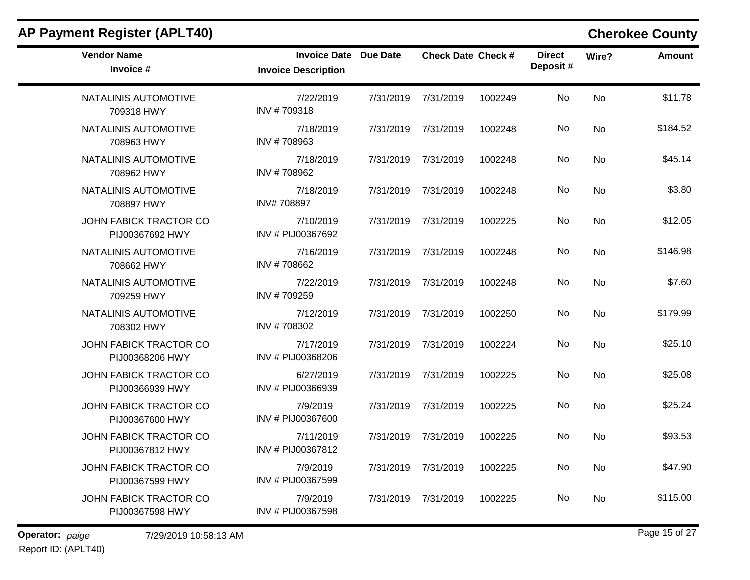| <b>AP Payment Register (APLT40)</b>       |                                                            |           |                           |         |                           |           | <b>Cherokee County</b> |
|-------------------------------------------|------------------------------------------------------------|-----------|---------------------------|---------|---------------------------|-----------|------------------------|
| <b>Vendor Name</b><br>Invoice #           | <b>Invoice Date Due Date</b><br><b>Invoice Description</b> |           | <b>Check Date Check #</b> |         | <b>Direct</b><br>Deposit# | Wire?     | Amount                 |
| NATALINIS AUTOMOTIVE<br>709318 HWY        | 7/22/2019<br>INV #709318                                   | 7/31/2019 | 7/31/2019                 | 1002249 | No                        | <b>No</b> | \$11.78                |
| NATALINIS AUTOMOTIVE<br>708963 HWY        | 7/18/2019<br>INV #708963                                   | 7/31/2019 | 7/31/2019                 | 1002248 | No                        | No        | \$184.52               |
| NATALINIS AUTOMOTIVE<br>708962 HWY        | 7/18/2019<br>INV #708962                                   | 7/31/2019 | 7/31/2019                 | 1002248 | No                        | No        | \$45.14                |
| NATALINIS AUTOMOTIVE<br>708897 HWY        | 7/18/2019<br>INV#708897                                    | 7/31/2019 | 7/31/2019                 | 1002248 | No                        | No        | \$3.80                 |
| JOHN FABICK TRACTOR CO<br>PIJ00367692 HWY | 7/10/2019<br>INV # PIJ00367692                             | 7/31/2019 | 7/31/2019                 | 1002225 | No                        | No        | \$12.05                |
| NATALINIS AUTOMOTIVE<br>708662 HWY        | 7/16/2019<br>INV #708662                                   | 7/31/2019 | 7/31/2019                 | 1002248 | No                        | No        | \$146.98               |
| NATALINIS AUTOMOTIVE<br>709259 HWY        | 7/22/2019<br>INV #709259                                   | 7/31/2019 | 7/31/2019                 | 1002248 | No                        | No        | \$7.60                 |
| NATALINIS AUTOMOTIVE<br>708302 HWY        | 7/12/2019<br>INV #708302                                   | 7/31/2019 | 7/31/2019                 | 1002250 | No                        | <b>No</b> | \$179.99               |
| JOHN FABICK TRACTOR CO<br>PIJ00368206 HWY | 7/17/2019<br>INV # PIJ00368206                             | 7/31/2019 | 7/31/2019                 | 1002224 | No                        | <b>No</b> | \$25.10                |
| JOHN FABICK TRACTOR CO<br>PIJ00366939 HWY | 6/27/2019<br>INV # PIJ00366939                             | 7/31/2019 | 7/31/2019                 | 1002225 | No                        | No        | \$25.08                |
| JOHN FABICK TRACTOR CO<br>PIJ00367600 HWY | 7/9/2019<br>INV # PIJ00367600                              | 7/31/2019 | 7/31/2019                 | 1002225 | No                        | No        | \$25.24                |
| JOHN FABICK TRACTOR CO<br>PIJ00367812 HWY | 7/11/2019<br>INV # PIJ00367812                             | 7/31/2019 | 7/31/2019                 | 1002225 | No                        | No        | \$93.53                |
| JOHN FABICK TRACTOR CO<br>PIJ00367599 HWY | 7/9/2019<br>INV # PIJ00367599                              | 7/31/2019 | 7/31/2019                 | 1002225 | No                        | No        | \$47.90                |
| JOHN FABICK TRACTOR CO<br>PIJ00367598 HWY | 7/9/2019<br>INV # PIJ00367598                              | 7/31/2019 | 7/31/2019                 | 1002225 | No                        | No        | \$115.00               |
|                                           |                                                            |           |                           |         |                           |           |                        |

## Report ID: (APLT40)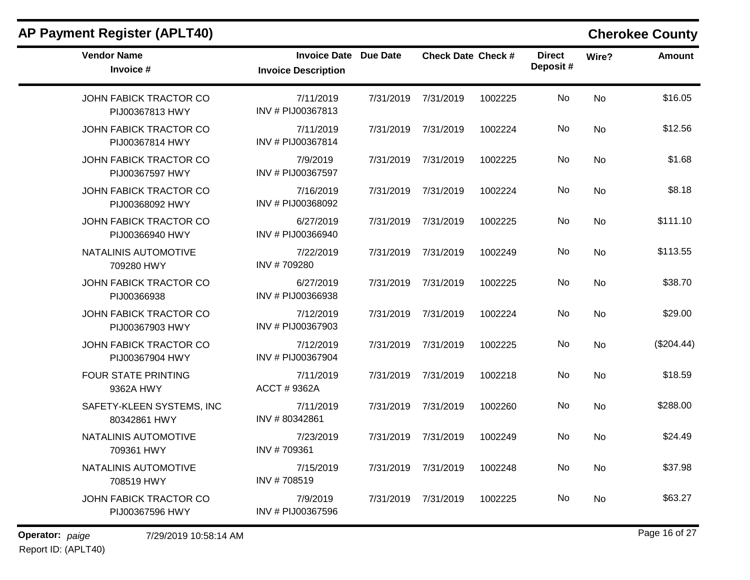| <b>AP Payment Register (APLT40)</b>              |                                                   |                 |                           |         |                           |           | <b>Cherokee County</b> |
|--------------------------------------------------|---------------------------------------------------|-----------------|---------------------------|---------|---------------------------|-----------|------------------------|
| <b>Vendor Name</b><br>Invoice #                  | <b>Invoice Date</b><br><b>Invoice Description</b> | <b>Due Date</b> | <b>Check Date Check #</b> |         | <b>Direct</b><br>Deposit# | Wire?     | <b>Amount</b>          |
| <b>JOHN FABICK TRACTOR CO</b><br>PIJ00367813 HWY | 7/11/2019<br>INV # PIJ00367813                    | 7/31/2019       | 7/31/2019                 | 1002225 | No                        | <b>No</b> | \$16.05                |
| <b>JOHN FABICK TRACTOR CO</b><br>PIJ00367814 HWY | 7/11/2019<br>INV # PIJ00367814                    | 7/31/2019       | 7/31/2019                 | 1002224 | No                        | No        | \$12.56                |
| JOHN FABICK TRACTOR CO<br>PIJ00367597 HWY        | 7/9/2019<br>INV # PIJ00367597                     | 7/31/2019       | 7/31/2019                 | 1002225 | No                        | No        | \$1.68                 |
| JOHN FABICK TRACTOR CO<br>PIJ00368092 HWY        | 7/16/2019<br>INV # PIJ00368092                    | 7/31/2019       | 7/31/2019                 | 1002224 | No                        | <b>No</b> | \$8.18                 |
| <b>JOHN FABICK TRACTOR CO</b><br>PIJ00366940 HWY | 6/27/2019<br>INV # PIJ00366940                    | 7/31/2019       | 7/31/2019                 | 1002225 | No                        | <b>No</b> | \$111.10               |
| NATALINIS AUTOMOTIVE<br>709280 HWY               | 7/22/2019<br>INV #709280                          | 7/31/2019       | 7/31/2019                 | 1002249 | No                        | No        | \$113.55               |
| JOHN FABICK TRACTOR CO<br>PIJ00366938            | 6/27/2019<br>INV # PIJ00366938                    | 7/31/2019       | 7/31/2019                 | 1002225 | No                        | No        | \$38.70                |
| <b>JOHN FABICK TRACTOR CO</b><br>PIJ00367903 HWY | 7/12/2019<br>INV # PIJ00367903                    | 7/31/2019       | 7/31/2019                 | 1002224 | No                        | No        | \$29.00                |
| <b>JOHN FABICK TRACTOR CO</b><br>PIJ00367904 HWY | 7/12/2019<br>INV # PIJ00367904                    | 7/31/2019       | 7/31/2019                 | 1002225 | No                        | No        | (\$204.44)             |
| FOUR STATE PRINTING<br>9362A HWY                 | 7/11/2019<br>ACCT # 9362A                         | 7/31/2019       | 7/31/2019                 | 1002218 | No                        | No        | \$18.59                |
| SAFETY-KLEEN SYSTEMS, INC<br>80342861 HWY        | 7/11/2019<br>INV #80342861                        | 7/31/2019       | 7/31/2019                 | 1002260 | No                        | No        | \$288.00               |
| NATALINIS AUTOMOTIVE<br>709361 HWY               | 7/23/2019<br>INV #709361                          | 7/31/2019       | 7/31/2019                 | 1002249 | No                        | No        | \$24.49                |
| NATALINIS AUTOMOTIVE<br>708519 HWY               | 7/15/2019<br>INV #708519                          | 7/31/2019       | 7/31/2019                 | 1002248 | No                        | No        | \$37.98                |
| <b>JOHN FABICK TRACTOR CO</b><br>PIJ00367596 HWY | 7/9/2019<br>INV # PIJ00367596                     | 7/31/2019       | 7/31/2019                 | 1002225 | No                        | No        | \$63.27                |

**Operator:** paige 7/29/2019 10:58:14 AM Report ID: (APLT40)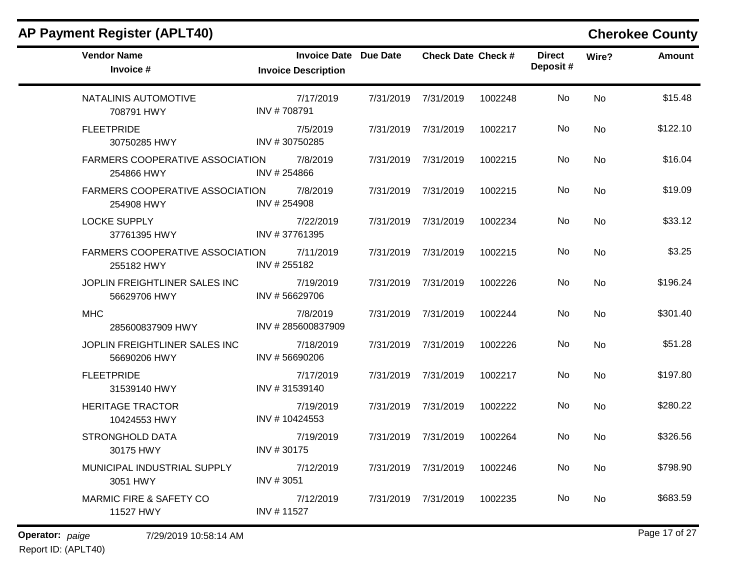| <b>Vendor Name</b><br>Invoice #               | Invoice Date Due Date<br><b>Invoice Description</b> |           | <b>Check Date Check #</b> |         | <b>Direct</b><br>Deposit# | Wire?          | <b>Amount</b> |
|-----------------------------------------------|-----------------------------------------------------|-----------|---------------------------|---------|---------------------------|----------------|---------------|
| NATALINIS AUTOMOTIVE<br>708791 HWY            | 7/17/2019<br>INV #708791                            | 7/31/2019 | 7/31/2019                 | 1002248 | No                        | <b>No</b>      | \$15.48       |
| <b>FLEETPRIDE</b><br>30750285 HWY             | 7/5/2019<br>INV #30750285                           |           | 7/31/2019 7/31/2019       | 1002217 | No.                       | N <sub>o</sub> | \$122.10      |
| FARMERS COOPERATIVE ASSOCIATION<br>254866 HWY | 7/8/2019<br>INV #254866                             |           | 7/31/2019 7/31/2019       | 1002215 | No                        | No.            | \$16.04       |
| FARMERS COOPERATIVE ASSOCIATION<br>254908 HWY | 7/8/2019<br>INV # 254908                            |           | 7/31/2019 7/31/2019       | 1002215 | No.                       | N <sub>o</sub> | \$19.09       |
| <b>LOCKE SUPPLY</b><br>37761395 HWY           | 7/22/2019<br>INV #37761395                          | 7/31/2019 | 7/31/2019                 | 1002234 | No.                       | N <sub>o</sub> | \$33.12       |
| FARMERS COOPERATIVE ASSOCIATION<br>255182 HWY | 7/11/2019<br>INV #255182                            | 7/31/2019 | 7/31/2019                 | 1002215 | No                        | <b>No</b>      | \$3.25        |
| JOPLIN FREIGHTLINER SALES INC<br>56629706 HWY | 7/19/2019<br>INV #56629706                          |           | 7/31/2019 7/31/2019       | 1002226 | No                        | No             | \$196.24      |
| <b>MHC</b><br>285600837909 HWY                | 7/8/2019<br>INV #285600837909                       |           | 7/31/2019 7/31/2019       | 1002244 | No                        | <b>No</b>      | \$301.40      |
| JOPLIN FREIGHTLINER SALES INC<br>56690206 HWY | 7/18/2019<br>INV #56690206                          | 7/31/2019 | 7/31/2019                 | 1002226 | No.                       | <b>No</b>      | \$51.28       |
| <b>FLEETPRIDE</b><br>31539140 HWY             | 7/17/2019<br>INV #31539140                          |           | 7/31/2019 7/31/2019       | 1002217 | No.                       | N <sub>o</sub> | \$197.80      |
| <b>HERITAGE TRACTOR</b><br>10424553 HWY       | 7/19/2019<br>INV #10424553                          |           | 7/31/2019 7/31/2019       | 1002222 | No.                       | <b>No</b>      | \$280.22      |
| <b>STRONGHOLD DATA</b><br>30175 HWY           | 7/19/2019<br>INV #30175                             | 7/31/2019 | 7/31/2019                 | 1002264 | No.                       | <b>No</b>      | \$326.56      |
| MUNICIPAL INDUSTRIAL SUPPLY<br>3051 HWY       | 7/12/2019<br>INV #3051                              | 7/31/2019 | 7/31/2019                 | 1002246 | No.                       | No             | \$798.90      |
| MARMIC FIRE & SAFETY CO<br>11527 HWY          | 7/12/2019<br>INV #11527                             | 7/31/2019 | 7/31/2019                 | 1002235 | No                        | <b>No</b>      | \$683.59      |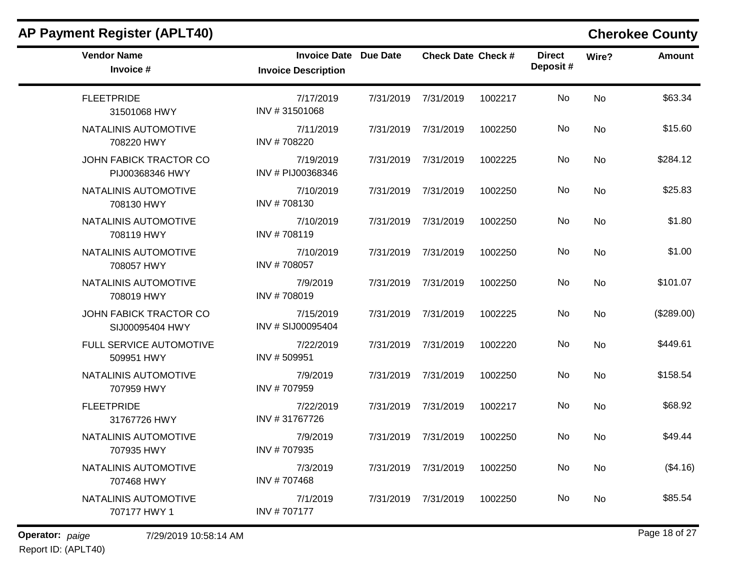| <b>AP Payment Register (APLT40)</b>       |                                                            |           |                           |         |                           |           | <b>Cherokee County</b> |
|-------------------------------------------|------------------------------------------------------------|-----------|---------------------------|---------|---------------------------|-----------|------------------------|
| <b>Vendor Name</b><br>Invoice #           | <b>Invoice Date Due Date</b><br><b>Invoice Description</b> |           | <b>Check Date Check #</b> |         | <b>Direct</b><br>Deposit# | Wire?     | Amount                 |
| <b>FLEETPRIDE</b><br>31501068 HWY         | 7/17/2019<br>INV #31501068                                 | 7/31/2019 | 7/31/2019                 | 1002217 | No                        | <b>No</b> | \$63.34                |
| NATALINIS AUTOMOTIVE<br>708220 HWY        | 7/11/2019<br>INV #708220                                   | 7/31/2019 | 7/31/2019                 | 1002250 | No                        | No        | \$15.60                |
| JOHN FABICK TRACTOR CO<br>PIJ00368346 HWY | 7/19/2019<br>INV # PIJ00368346                             | 7/31/2019 | 7/31/2019                 | 1002225 | No                        | No        | \$284.12               |
| NATALINIS AUTOMOTIVE<br>708130 HWY        | 7/10/2019<br>INV #708130                                   | 7/31/2019 | 7/31/2019                 | 1002250 | No                        | No        | \$25.83                |
| NATALINIS AUTOMOTIVE<br>708119 HWY        | 7/10/2019<br>INV #708119                                   | 7/31/2019 | 7/31/2019                 | 1002250 | No                        | No        | \$1.80                 |
| NATALINIS AUTOMOTIVE<br>708057 HWY        | 7/10/2019<br>INV #708057                                   | 7/31/2019 | 7/31/2019                 | 1002250 | No                        | No        | \$1.00                 |
| NATALINIS AUTOMOTIVE<br>708019 HWY        | 7/9/2019<br>INV #708019                                    | 7/31/2019 | 7/31/2019                 | 1002250 | No                        | No        | \$101.07               |
| JOHN FABICK TRACTOR CO<br>SIJ00095404 HWY | 7/15/2019<br>INV # SIJ00095404                             | 7/31/2019 | 7/31/2019                 | 1002225 | No                        | <b>No</b> | (\$289.00)             |
| FULL SERVICE AUTOMOTIVE<br>509951 HWY     | 7/22/2019<br>INV #509951                                   | 7/31/2019 | 7/31/2019                 | 1002220 | No                        | <b>No</b> | \$449.61               |
| NATALINIS AUTOMOTIVE<br>707959 HWY        | 7/9/2019<br>INV #707959                                    | 7/31/2019 | 7/31/2019                 | 1002250 | No                        | No        | \$158.54               |
| <b>FLEETPRIDE</b><br>31767726 HWY         | 7/22/2019<br>INV #31767726                                 | 7/31/2019 | 7/31/2019                 | 1002217 | No                        | No        | \$68.92                |
| NATALINIS AUTOMOTIVE<br>707935 HWY        | 7/9/2019<br>INV #707935                                    | 7/31/2019 | 7/31/2019                 | 1002250 | No                        | No        | \$49.44                |
| NATALINIS AUTOMOTIVE<br>707468 HWY        | 7/3/2019<br>INV #707468                                    | 7/31/2019 | 7/31/2019                 | 1002250 | No                        | No        | (\$4.16)               |
| NATALINIS AUTOMOTIVE<br>707177 HWY 1      | 7/1/2019<br>INV #707177                                    | 7/31/2019 | 7/31/2019                 | 1002250 | No                        | No        | \$85.54                |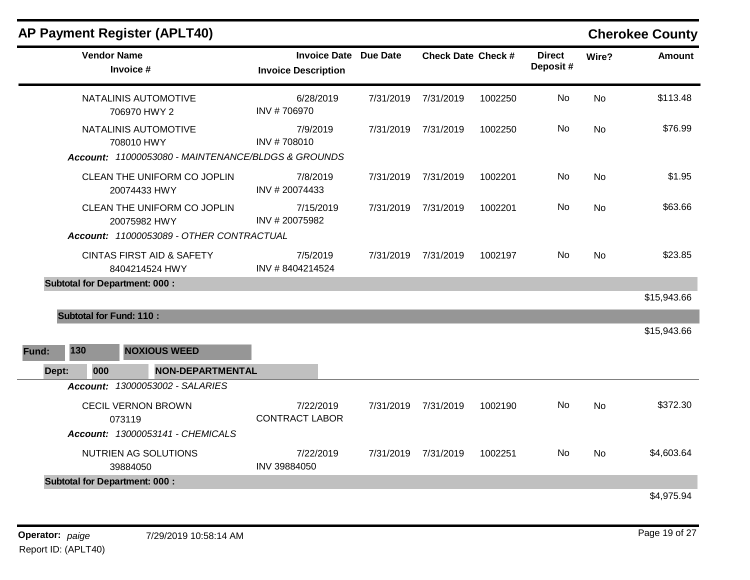|       | <b>Vendor Name</b><br>Invoice #                                                          | <b>Invoice Date Due Date</b><br><b>Invoice Description</b> |           |           | <b>Check Date Check #</b> |     | Wire?     | <b>Amount</b> |
|-------|------------------------------------------------------------------------------------------|------------------------------------------------------------|-----------|-----------|---------------------------|-----|-----------|---------------|
|       | NATALINIS AUTOMOTIVE<br>706970 HWY 2                                                     | 6/28/2019<br>INV #706970                                   | 7/31/2019 | 7/31/2019 | 1002250                   | No  | No        | \$113.48      |
|       | NATALINIS AUTOMOTIVE<br>708010 HWY<br>Account: 11000053080 - MAINTENANCE/BLDGS & GROUNDS | 7/9/2019<br>INV #708010                                    | 7/31/2019 | 7/31/2019 | 1002250                   | No  | <b>No</b> | \$76.99       |
|       | CLEAN THE UNIFORM CO JOPLIN<br>20074433 HWY                                              | 7/8/2019<br>INV #20074433                                  | 7/31/2019 | 7/31/2019 | 1002201                   | No  | <b>No</b> | \$1.95        |
|       | CLEAN THE UNIFORM CO JOPLIN<br>20075982 HWY                                              | 7/15/2019<br>INV #20075982                                 | 7/31/2019 | 7/31/2019 | 1002201                   | No  | <b>No</b> | \$63.66       |
|       | Account: 11000053089 - OTHER CONTRACTUAL                                                 |                                                            |           |           |                           |     |           |               |
|       | <b>CINTAS FIRST AID &amp; SAFETY</b><br>8404214524 HWY                                   | 7/5/2019<br>INV #8404214524                                | 7/31/2019 | 7/31/2019 | 1002197                   | No  | <b>No</b> | \$23.85       |
|       | <b>Subtotal for Department: 000:</b>                                                     |                                                            |           |           |                           |     |           |               |
|       |                                                                                          |                                                            |           |           |                           |     |           | \$15,943.66   |
|       | <b>Subtotal for Fund: 110:</b>                                                           |                                                            |           |           |                           |     |           |               |
|       |                                                                                          |                                                            |           |           |                           |     |           | \$15,943.66   |
| Fund: | 130<br><b>NOXIOUS WEED</b>                                                               |                                                            |           |           |                           |     |           |               |
| Dept: | 000<br><b>NON-DEPARTMENTAL</b>                                                           |                                                            |           |           |                           |     |           |               |
|       | Account: 13000053002 - SALARIES                                                          |                                                            |           |           |                           |     |           |               |
|       | <b>CECIL VERNON BROWN</b><br>073119                                                      | 7/22/2019<br><b>CONTRACT LABOR</b>                         | 7/31/2019 | 7/31/2019 | 1002190                   | No  | <b>No</b> | \$372.30      |
|       | Account: 13000053141 - CHEMICALS                                                         |                                                            |           |           |                           |     |           |               |
|       | NUTRIEN AG SOLUTIONS<br>39884050                                                         | 7/22/2019<br>INV 39884050                                  | 7/31/2019 | 7/31/2019 | 1002251                   | No. | <b>No</b> | \$4,603.64    |
|       | <b>Subtotal for Department: 000:</b>                                                     |                                                            |           |           |                           |     |           |               |
|       |                                                                                          |                                                            |           |           |                           |     |           | \$4,975.94    |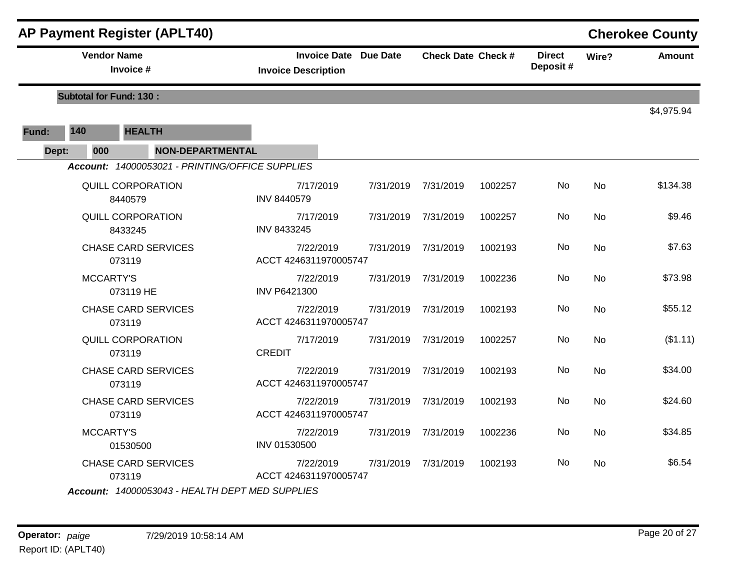|       |                                | <b>AP Payment Register (APLT40)</b>             |                                    |                              |                     |                           |         |                           |           | <b>Cherokee County</b> |
|-------|--------------------------------|-------------------------------------------------|------------------------------------|------------------------------|---------------------|---------------------------|---------|---------------------------|-----------|------------------------|
|       | <b>Vendor Name</b>             | Invoice #                                       | <b>Invoice Description</b>         | <b>Invoice Date Due Date</b> |                     | <b>Check Date Check #</b> |         | <b>Direct</b><br>Deposit# | Wire?     | <b>Amount</b>          |
|       | <b>Subtotal for Fund: 130:</b> |                                                 |                                    |                              |                     |                           |         |                           |           |                        |
|       |                                |                                                 |                                    |                              |                     |                           |         |                           |           | \$4,975.94             |
| Fund: | 140                            | <b>HEALTH</b>                                   |                                    |                              |                     |                           |         |                           |           |                        |
| Dept: | 000                            | <b>NON-DEPARTMENTAL</b>                         |                                    |                              |                     |                           |         |                           |           |                        |
|       |                                | Account: 14000053021 - PRINTING/OFFICE SUPPLIES |                                    |                              |                     |                           |         |                           |           |                        |
|       |                                | QUILL CORPORATION<br>8440579                    | 7/17/2019<br><b>INV 8440579</b>    |                              | 7/31/2019 7/31/2019 |                           | 1002257 | No                        | <b>No</b> | \$134.38               |
|       |                                | QUILL CORPORATION<br>8433245                    | 7/17/2019<br>INV 8433245           |                              | 7/31/2019 7/31/2019 |                           | 1002257 | No                        | No        | \$9.46                 |
|       |                                | <b>CHASE CARD SERVICES</b><br>073119            | 7/22/2019<br>ACCT 4246311970005747 |                              | 7/31/2019 7/31/2019 |                           | 1002193 | No                        | No        | \$7.63                 |
|       | <b>MCCARTY'S</b>               | 073119 HE                                       | 7/22/2019<br><b>INV P6421300</b>   |                              | 7/31/2019           | 7/31/2019                 | 1002236 | No                        | No        | \$73.98                |
|       |                                | <b>CHASE CARD SERVICES</b><br>073119            | 7/22/2019<br>ACCT 4246311970005747 |                              | 7/31/2019           | 7/31/2019                 | 1002193 | No                        | <b>No</b> | \$55.12                |
|       |                                | <b>QUILL CORPORATION</b><br>073119              | 7/17/2019<br><b>CREDIT</b>         |                              | 7/31/2019           | 7/31/2019                 | 1002257 | No                        | <b>No</b> | (\$1.11)               |
|       |                                | <b>CHASE CARD SERVICES</b><br>073119            | 7/22/2019<br>ACCT 4246311970005747 |                              | 7/31/2019           | 7/31/2019                 | 1002193 | No                        | <b>No</b> | \$34.00                |
|       |                                | <b>CHASE CARD SERVICES</b><br>073119            | 7/22/2019<br>ACCT 4246311970005747 |                              | 7/31/2019           | 7/31/2019                 | 1002193 | No.                       | No        | \$24.60                |
|       | <b>MCCARTY'S</b>               | 01530500                                        | 7/22/2019<br>INV 01530500          |                              | 7/31/2019 7/31/2019 |                           | 1002236 | No                        | <b>No</b> | \$34.85                |
|       |                                | <b>CHASE CARD SERVICES</b><br>073119            | 7/22/2019<br>ACCT 4246311970005747 |                              |                     | 7/31/2019 7/31/2019       | 1002193 | No.                       | <b>No</b> | \$6.54                 |
|       |                                | Account: 14000053043 - HEALTH DEPT MED SUPPLIES |                                    |                              |                     |                           |         |                           |           |                        |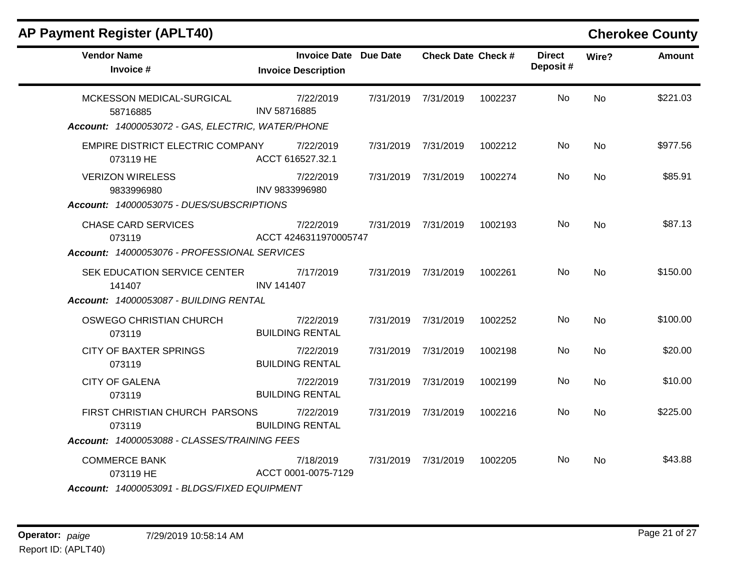| <b>Vendor Name</b><br>Invoice #                                                   | <b>Invoice Date Due Date</b><br><b>Invoice Description</b> |           | <b>Check Date Check #</b> |         | <b>Direct</b><br>Deposit# | Wire?     | <b>Amount</b> |
|-----------------------------------------------------------------------------------|------------------------------------------------------------|-----------|---------------------------|---------|---------------------------|-----------|---------------|
| MCKESSON MEDICAL-SURGICAL<br>58716885                                             | 7/22/2019<br>INV 58716885                                  | 7/31/2019 | 7/31/2019                 | 1002237 | <b>No</b>                 | <b>No</b> | \$221.03      |
| Account: 14000053072 - GAS, ELECTRIC, WATER/PHONE                                 |                                                            |           |                           |         |                           |           |               |
| EMPIRE DISTRICT ELECTRIC COMPANY<br>073119 HE                                     | 7/22/2019<br>ACCT 616527.32.1                              |           | 7/31/2019 7/31/2019       | 1002212 | No.                       | No        | \$977.56      |
| <b>VERIZON WIRELESS</b><br>9833996980                                             | 7/22/2019<br>INV 9833996980                                |           | 7/31/2019 7/31/2019       | 1002274 | No.                       | No.       | \$85.91       |
| Account: 14000053075 - DUES/SUBSCRIPTIONS                                         |                                                            |           |                           |         |                           |           |               |
| <b>CHASE CARD SERVICES</b><br>073119                                              | 7/22/2019<br>ACCT 4246311970005747                         |           | 7/31/2019 7/31/2019       | 1002193 | No.                       | <b>No</b> | \$87.13       |
| Account: 14000053076 - PROFESSIONAL SERVICES                                      |                                                            |           |                           |         |                           |           |               |
| SEK EDUCATION SERVICE CENTER<br>141407                                            | 7/17/2019<br><b>INV 141407</b>                             |           | 7/31/2019 7/31/2019       | 1002261 | No.                       | <b>No</b> | \$150.00      |
| Account: 14000053087 - BUILDING RENTAL                                            |                                                            |           |                           |         |                           |           |               |
| OSWEGO CHRISTIAN CHURCH<br>073119                                                 | 7/22/2019<br><b>BUILDING RENTAL</b>                        |           | 7/31/2019 7/31/2019       | 1002252 | No.                       | No        | \$100.00      |
| <b>CITY OF BAXTER SPRINGS</b><br>073119                                           | 7/22/2019<br><b>BUILDING RENTAL</b>                        |           | 7/31/2019 7/31/2019       | 1002198 | No.                       | <b>No</b> | \$20.00       |
| <b>CITY OF GALENA</b><br>073119                                                   | 7/22/2019<br><b>BUILDING RENTAL</b>                        | 7/31/2019 | 7/31/2019                 | 1002199 | No.                       | <b>No</b> | \$10.00       |
| FIRST CHRISTIAN CHURCH PARSONS<br>073119                                          | 7/22/2019<br><b>BUILDING RENTAL</b>                        |           | 7/31/2019 7/31/2019       | 1002216 | No.                       | No.       | \$225.00      |
| Account: 14000053088 - CLASSES/TRAINING FEES                                      |                                                            |           |                           |         |                           |           |               |
| <b>COMMERCE BANK</b><br>073119 HE<br>Account: 14000053091 - BLDGS/FIXED EQUIPMENT | 7/18/2019<br>ACCT 0001-0075-7129                           |           | 7/31/2019 7/31/2019       | 1002205 | No.                       | No        | \$43.88       |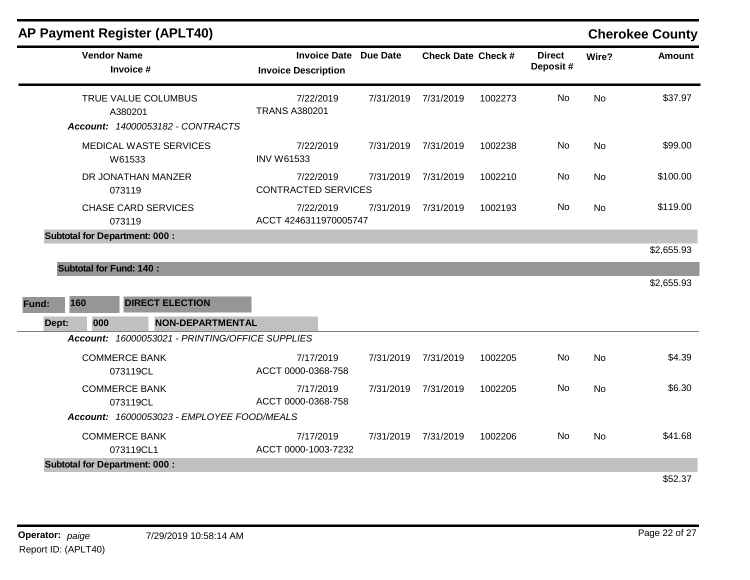|       | <b>Vendor Name</b><br>Invoice #                 | <b>Invoice Date Due Date</b><br><b>Invoice Description</b> |           | <b>Check Date Check #</b> |         | <b>Direct</b><br>Deposit# | Wire?     | <b>Amount</b> |
|-------|-------------------------------------------------|------------------------------------------------------------|-----------|---------------------------|---------|---------------------------|-----------|---------------|
|       | TRUE VALUE COLUMBUS<br>A380201                  | 7/22/2019<br><b>TRANS A380201</b>                          | 7/31/2019 | 7/31/2019                 | 1002273 | No                        | <b>No</b> | \$37.97       |
|       | Account: 14000053182 - CONTRACTS                |                                                            |           |                           |         |                           |           |               |
|       | MEDICAL WASTE SERVICES<br>W61533                | 7/22/2019<br><b>INV W61533</b>                             | 7/31/2019 | 7/31/2019                 | 1002238 | No                        | <b>No</b> | \$99.00       |
|       | DR JONATHAN MANZER<br>073119                    | 7/22/2019<br><b>CONTRACTED SERVICES</b>                    | 7/31/2019 | 7/31/2019                 | 1002210 | No                        | <b>No</b> | \$100.00      |
|       | <b>CHASE CARD SERVICES</b><br>073119            | 7/22/2019<br>ACCT 4246311970005747                         | 7/31/2019 | 7/31/2019                 | 1002193 | No                        | <b>No</b> | \$119.00      |
|       | <b>Subtotal for Department: 000:</b>            |                                                            |           |                           |         |                           |           |               |
|       |                                                 |                                                            |           |                           |         |                           |           | \$2,655.93    |
|       | <b>Subtotal for Fund: 140:</b>                  |                                                            |           |                           |         |                           |           |               |
|       |                                                 |                                                            |           |                           |         |                           |           | \$2,655.93    |
| Fund: | 160<br><b>DIRECT ELECTION</b>                   |                                                            |           |                           |         |                           |           |               |
| Dept: | 000<br><b>NON-DEPARTMENTAL</b>                  |                                                            |           |                           |         |                           |           |               |
|       | Account: 16000053021 - PRINTING/OFFICE SUPPLIES |                                                            |           |                           |         |                           |           |               |
|       | <b>COMMERCE BANK</b><br>073119CL                | 7/17/2019<br>ACCT 0000-0368-758                            | 7/31/2019 | 7/31/2019                 | 1002205 | No                        | No        | \$4.39        |
|       | <b>COMMERCE BANK</b><br>073119CL                | 7/17/2019<br>ACCT 0000-0368-758                            | 7/31/2019 | 7/31/2019                 | 1002205 | No                        | <b>No</b> | \$6.30        |
|       | Account: 16000053023 - EMPLOYEE FOOD/MEALS      |                                                            |           |                           |         |                           |           |               |
|       | <b>COMMERCE BANK</b><br>073119CL1               | 7/17/2019<br>ACCT 0000-1003-7232                           | 7/31/2019 | 7/31/2019                 | 1002206 | No                        | <b>No</b> | \$41.68       |
|       | <b>Subtotal for Department: 000:</b>            |                                                            |           |                           |         |                           |           |               |
|       |                                                 |                                                            |           |                           |         |                           |           |               |

\$52.37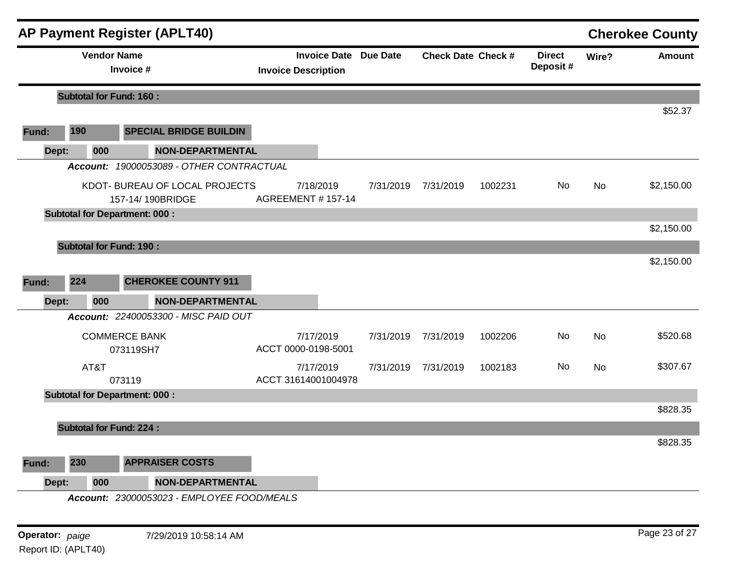|       |                                | <b>AP Payment Register (APLT40)</b>                |                                        |                              |                           |         |                           |           | <b>Cherokee County</b> |
|-------|--------------------------------|----------------------------------------------------|----------------------------------------|------------------------------|---------------------------|---------|---------------------------|-----------|------------------------|
|       | <b>Vendor Name</b>             | Invoice #                                          | <b>Invoice Description</b>             | <b>Invoice Date Due Date</b> | <b>Check Date Check #</b> |         | <b>Direct</b><br>Deposit# | Wire?     | <b>Amount</b>          |
|       | <b>Subtotal for Fund: 160:</b> |                                                    |                                        |                              |                           |         |                           |           |                        |
|       |                                |                                                    |                                        |                              |                           |         |                           |           | \$52.37                |
| Fund: | 190                            | <b>SPECIAL BRIDGE BUILDIN</b>                      |                                        |                              |                           |         |                           |           |                        |
| Dept: | 000                            | <b>NON-DEPARTMENTAL</b>                            |                                        |                              |                           |         |                           |           |                        |
|       |                                | Account: 19000053089 - OTHER CONTRACTUAL           |                                        |                              |                           |         |                           |           |                        |
|       |                                | KDOT- BUREAU OF LOCAL PROJECTS<br>157-14/190BRIDGE | 7/18/2019<br><b>AGREEMENT # 157-14</b> | 7/31/2019                    | 7/31/2019                 | 1002231 | No.                       | No        | \$2,150.00             |
|       |                                | <b>Subtotal for Department: 000:</b>               |                                        |                              |                           |         |                           |           |                        |
|       |                                |                                                    |                                        |                              |                           |         |                           |           | \$2,150.00             |
|       | <b>Subtotal for Fund: 190:</b> |                                                    |                                        |                              |                           |         |                           |           |                        |
|       |                                |                                                    |                                        |                              |                           |         |                           |           | \$2,150.00             |
| Fund: | 224                            | <b>CHEROKEE COUNTY 911</b>                         |                                        |                              |                           |         |                           |           |                        |
| Dept: | 000                            | <b>NON-DEPARTMENTAL</b>                            |                                        |                              |                           |         |                           |           |                        |
|       |                                | Account: 22400053300 - MISC PAID OUT               |                                        |                              |                           |         |                           |           |                        |
|       |                                | <b>COMMERCE BANK</b><br>073119SH7                  | 7/17/2019<br>ACCT 0000-0198-5001       |                              | 7/31/2019 7/31/2019       | 1002206 | No.                       | <b>No</b> | \$520.68               |
|       | AT&T                           | 073119                                             | 7/17/2019<br>ACCT 31614001004978       | 7/31/2019                    | 7/31/2019                 | 1002183 | No                        | No.       | \$307.67               |
|       |                                | <b>Subtotal for Department: 000:</b>               |                                        |                              |                           |         |                           |           |                        |
|       |                                |                                                    |                                        |                              |                           |         |                           |           | \$828.35               |
|       | <b>Subtotal for Fund: 224:</b> |                                                    |                                        |                              |                           |         |                           |           |                        |
|       |                                |                                                    |                                        |                              |                           |         |                           |           | \$828.35               |
| Fund: | 230                            | <b>APPRAISER COSTS</b>                             |                                        |                              |                           |         |                           |           |                        |
| Dept: | 000                            | <b>NON-DEPARTMENTAL</b>                            |                                        |                              |                           |         |                           |           |                        |
|       |                                | Account: 23000053023 - EMPLOYEE FOOD/MEALS         |                                        |                              |                           |         |                           |           |                        |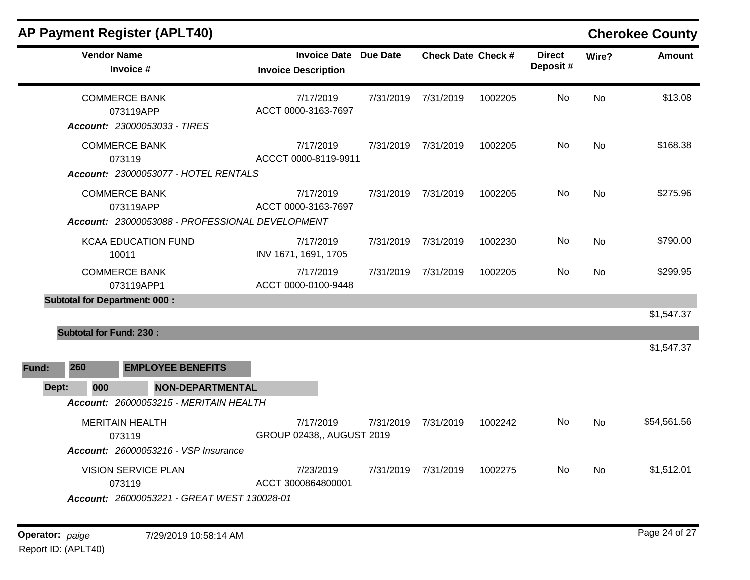| <b>Vendor Name</b><br>Invoice #                                                                                           | <b>Invoice Date Due Date</b><br><b>Invoice Description</b> |           | <b>Check Date Check #</b> |         | <b>Direct</b><br>Deposit# | Wire?     | <b>Amount</b> |
|---------------------------------------------------------------------------------------------------------------------------|------------------------------------------------------------|-----------|---------------------------|---------|---------------------------|-----------|---------------|
| <b>COMMERCE BANK</b><br>073119APP<br>Account: 23000053033 - TIRES                                                         | 7/17/2019<br>ACCT 0000-3163-7697                           | 7/31/2019 | 7/31/2019                 | 1002205 | No                        | <b>No</b> | \$13.08       |
| <b>COMMERCE BANK</b><br>073119<br>Account: 23000053077 - HOTEL RENTALS                                                    | 7/17/2019<br>ACCCT 0000-8119-9911                          | 7/31/2019 | 7/31/2019                 | 1002205 | No                        | No        | \$168.38      |
| <b>COMMERCE BANK</b><br>073119APP<br>Account: 23000053088 - PROFESSIONAL DEVELOPMENT                                      | 7/17/2019<br>ACCT 0000-3163-7697                           | 7/31/2019 | 7/31/2019                 | 1002205 | No                        | No        | \$275.96      |
| <b>KCAA EDUCATION FUND</b><br>10011                                                                                       | 7/17/2019<br>INV 1671, 1691, 1705                          | 7/31/2019 | 7/31/2019                 | 1002230 | No                        | No        | \$790.00      |
| <b>COMMERCE BANK</b><br>073119APP1                                                                                        | 7/17/2019<br>ACCT 0000-0100-9448                           | 7/31/2019 | 7/31/2019                 | 1002205 | No.                       | No        | \$299.95      |
| <b>Subtotal for Department: 000:</b><br><b>Subtotal for Fund: 230:</b>                                                    |                                                            |           |                           |         |                           |           | \$1,547.37    |
| 260<br><b>EMPLOYEE BENEFITS</b><br>Fund:                                                                                  |                                                            |           |                           |         |                           |           | \$1,547.37    |
| 000<br><b>NON-DEPARTMENTAL</b><br>Dept:                                                                                   |                                                            |           |                           |         |                           |           |               |
| Account: 26000053215 - MERITAIN HEALTH<br><b>MERITAIN HEALTH</b><br>073119<br><b>Account: 26000053216 - VSP Insurance</b> | 7/17/2019<br>GROUP 02438,, AUGUST 2019                     | 7/31/2019 | 7/31/2019                 | 1002242 | No.                       | No.       | \$54,561.56   |
| <b>VISION SERVICE PLAN</b><br>073119<br>Account: 26000053221 - GREAT WEST 130028-01                                       | 7/23/2019<br>ACCT 3000864800001                            | 7/31/2019 | 7/31/2019                 | 1002275 | No                        | No        | \$1,512.01    |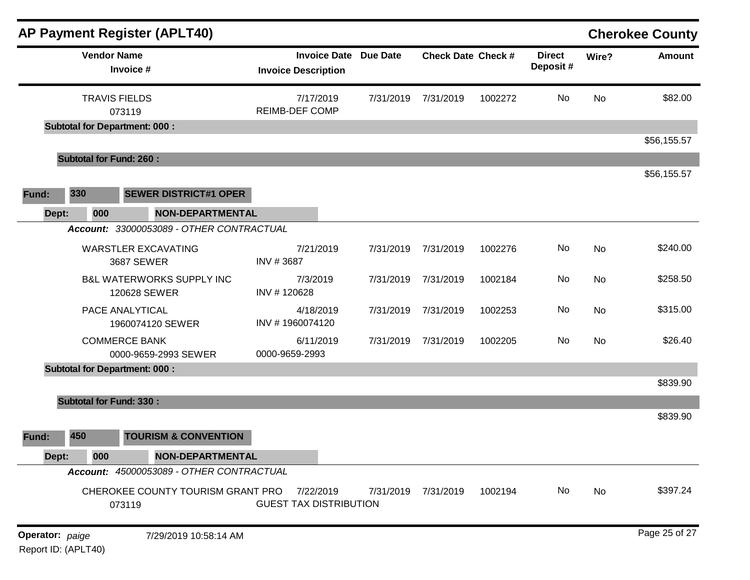|                 |                                | <b>AP Payment Register (APLT40)</b>                  |                                                            |           |                           |         |                           |           | <b>Cherokee County</b> |
|-----------------|--------------------------------|------------------------------------------------------|------------------------------------------------------------|-----------|---------------------------|---------|---------------------------|-----------|------------------------|
|                 | <b>Vendor Name</b>             | Invoice #                                            | <b>Invoice Date Due Date</b><br><b>Invoice Description</b> |           | <b>Check Date Check #</b> |         | <b>Direct</b><br>Deposit# | Wire?     | <b>Amount</b>          |
|                 |                                | <b>TRAVIS FIELDS</b><br>073119                       | 7/17/2019<br><b>REIMB-DEF COMP</b>                         | 7/31/2019 | 7/31/2019                 | 1002272 | No                        | <b>No</b> | \$82.00                |
|                 |                                | <b>Subtotal for Department: 000:</b>                 |                                                            |           |                           |         |                           |           |                        |
|                 | <b>Subtotal for Fund: 260:</b> |                                                      |                                                            |           |                           |         |                           |           | \$56,155.57            |
|                 |                                |                                                      |                                                            |           |                           |         |                           |           | \$56,155.57            |
| Fund:           | 330                            | <b>SEWER DISTRICT#1 OPER</b>                         |                                                            |           |                           |         |                           |           |                        |
| Dept:           | 000                            | NON-DEPARTMENTAL                                     |                                                            |           |                           |         |                           |           |                        |
|                 |                                | Account: 33000053089 - OTHER CONTRACTUAL             |                                                            |           |                           |         |                           |           |                        |
|                 |                                | <b>WARSTLER EXCAVATING</b><br>3687 SEWER             | 7/21/2019<br>INV #3687                                     | 7/31/2019 | 7/31/2019                 | 1002276 | No                        | <b>No</b> | \$240.00               |
|                 |                                | <b>B&amp;L WATERWORKS SUPPLY INC</b><br>120628 SEWER | 7/3/2019<br>INV #120628                                    | 7/31/2019 | 7/31/2019                 | 1002184 | No                        | <b>No</b> | \$258.50               |
|                 |                                | PACE ANALYTICAL<br>1960074120 SEWER                  | 4/18/2019<br>INV #1960074120                               | 7/31/2019 | 7/31/2019                 | 1002253 | No                        | <b>No</b> | \$315.00               |
|                 |                                | <b>COMMERCE BANK</b><br>0000-9659-2993 SEWER         | 6/11/2019<br>0000-9659-2993                                | 7/31/2019 | 7/31/2019                 | 1002205 | No                        | No        | \$26.40                |
|                 |                                | <b>Subtotal for Department: 000:</b>                 |                                                            |           |                           |         |                           |           |                        |
|                 |                                |                                                      |                                                            |           |                           |         |                           |           | \$839.90               |
|                 | <b>Subtotal for Fund: 330:</b> |                                                      |                                                            |           |                           |         |                           |           | \$839.90               |
| Fund:           | 450                            | <b>TOURISM &amp; CONVENTION</b>                      |                                                            |           |                           |         |                           |           |                        |
| Dept:           | 000                            | <b>NON-DEPARTMENTAL</b>                              |                                                            |           |                           |         |                           |           |                        |
|                 |                                | Account: 45000053089 - OTHER CONTRACTUAL             |                                                            |           |                           |         |                           |           |                        |
|                 |                                | CHEROKEE COUNTY TOURISM GRANT PRO<br>073119          | 7/22/2019<br><b>GUEST TAX DISTRIBUTION</b>                 | 7/31/2019 | 7/31/2019                 | 1002194 | No                        | No        | \$397.24               |
| Operator: paige |                                | 7/29/2019 10:58:14 AM                                |                                                            |           |                           |         |                           |           | Page 25 of 27          |

Report ID: (APLT40)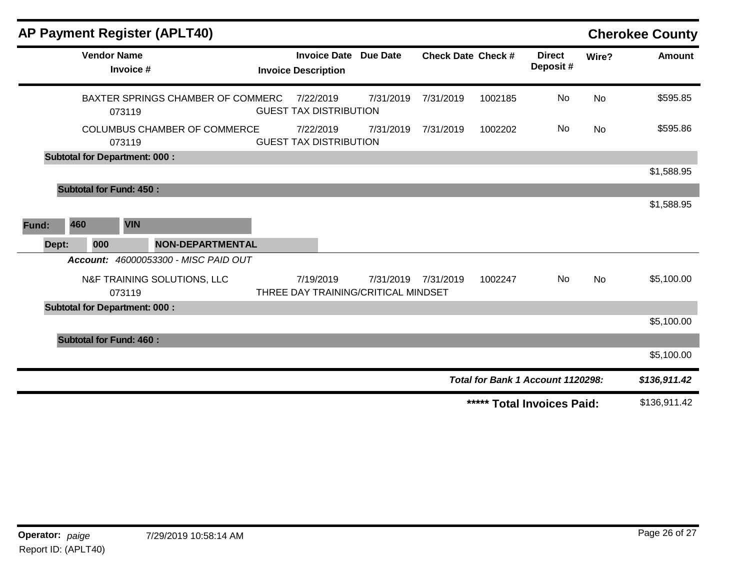| <b>AP Payment Register (APLT40)</b>           |                                                   |                 |                           |         |                                   |           | <b>Cherokee County</b> |
|-----------------------------------------------|---------------------------------------------------|-----------------|---------------------------|---------|-----------------------------------|-----------|------------------------|
| <b>Vendor Name</b><br>Invoice #               | <b>Invoice Date</b><br><b>Invoice Description</b> | <b>Due Date</b> | <b>Check Date Check #</b> |         | <b>Direct</b><br>Deposit#         | Wire?     | <b>Amount</b>          |
| BAXTER SPRINGS CHAMBER OF COMMERC<br>073119   | 7/22/2019<br><b>GUEST TAX DISTRIBUTION</b>        | 7/31/2019       | 7/31/2019                 | 1002185 | No                                | <b>No</b> | \$595.85               |
| <b>COLUMBUS CHAMBER OF COMMERCE</b><br>073119 | 7/22/2019<br><b>GUEST TAX DISTRIBUTION</b>        | 7/31/2019       | 7/31/2019                 | 1002202 | <b>No</b>                         | <b>No</b> | \$595.86               |
| <b>Subtotal for Department: 000:</b>          |                                                   |                 |                           |         |                                   |           |                        |
|                                               |                                                   |                 |                           |         |                                   |           | \$1,588.95             |
| <b>Subtotal for Fund: 450:</b>                |                                                   |                 |                           |         |                                   |           |                        |
|                                               |                                                   |                 |                           |         |                                   |           | \$1,588.95             |
| 460<br><b>VIN</b><br>Fund:                    |                                                   |                 |                           |         |                                   |           |                        |
| Dept:<br>000<br><b>NON-DEPARTMENTAL</b>       |                                                   |                 |                           |         |                                   |           |                        |
| Account: 46000053300 - MISC PAID OUT          |                                                   |                 |                           |         |                                   |           |                        |
| N&F TRAINING SOLUTIONS, LLC<br>073119         | 7/19/2019<br>THREE DAY TRAINING/CRITICAL MINDSET  | 7/31/2019       | 7/31/2019                 | 1002247 | No.                               | <b>No</b> | \$5,100.00             |
| <b>Subtotal for Department: 000:</b>          |                                                   |                 |                           |         |                                   |           |                        |
|                                               |                                                   |                 |                           |         |                                   |           | \$5,100.00             |
| <b>Subtotal for Fund: 460:</b>                |                                                   |                 |                           |         |                                   |           |                        |
|                                               |                                                   |                 |                           |         |                                   |           | \$5,100.00             |
|                                               |                                                   |                 |                           |         | Total for Bank 1 Account 1120298: |           | \$136,911.42           |
|                                               |                                                   |                 |                           |         | ***** Total Invoices Paid:        |           | \$136,911.42           |